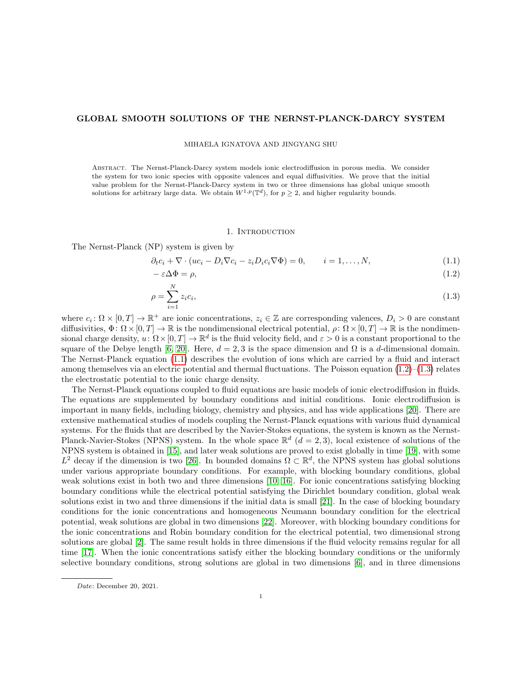### GLOBAL SMOOTH SOLUTIONS OF THE NERNST-PLANCK-DARCY SYSTEM

MIHAELA IGNATOVA AND JINGYANG SHU

Abstract. The Nernst-Planck-Darcy system models ionic electrodiffusion in porous media. We consider the system for two ionic species with opposite valences and equal diffusivities. We prove that the initial value problem for the Nernst-Planck-Darcy system in two or three dimensions has global unique smooth solutions for arbitrary large data. We obtain  $W^{1,p}(\mathbb{T}^d)$ , for  $p \geq 2$ , and higher regularity bounds.

#### <span id="page-0-2"></span><span id="page-0-1"></span><span id="page-0-0"></span>1. INTRODUCTION

The Nernst-Planck (NP) system is given by

$$
\partial_t c_i + \nabla \cdot (uc_i - D_i \nabla c_i - z_i D_i c_i \nabla \Phi) = 0, \qquad i = 1, \dots, N,
$$
\n(1.1)

$$
-\varepsilon \Delta \Phi = \rho,\tag{1.2}
$$

$$
\rho = \sum_{i=1}^{N} z_i c_i,\tag{1.3}
$$

where  $c_i \colon \Omega \times [0,T] \to \mathbb{R}^+$  are ionic concentrations,  $z_i \in \mathbb{Z}$  are corresponding valences,  $D_i > 0$  are constant diffusivities,  $\Phi: \Omega \times [0, T] \to \mathbb{R}$  is the nondimensional electrical potential,  $\rho: \Omega \times [0, T] \to \mathbb{R}$  is the nondimensional charge density,  $u: \Omega \times [0, T] \to \mathbb{R}^d$  is the fluid velocity field, and  $\varepsilon > 0$  is a constant proportional to the square of the Debye length [\[6,](#page-20-0) [20\]](#page-21-0). Here,  $d = 2, 3$  is the space dimension and  $\Omega$  is a d-dimensional domain. The Nernst-Planck equation [\(1.1\)](#page-0-0) describes the evolution of ions which are carried by a fluid and interact among themselves via an electric potential and thermal fluctuations. The Poisson equation  $(1.2)$ – $(1.3)$  relates the electrostatic potential to the ionic charge density.

The Nernst-Planck equations coupled to fluid equations are basic models of ionic electrodiffusion in fluids. The equations are supplemented by boundary conditions and initial conditions. Ionic electrodiffusion is important in many fields, including biology, chemistry and physics, and has wide applications [\[20\]](#page-21-0). There are extensive mathematical studies of models coupling the Nernst-Planck equations with various fluid dynamical systems. For the fluids that are described by the Navier-Stokes equations, the system is known as the Nernst-Planck-Navier-Stokes (NPNS) system. In the whole space  $\mathbb{R}^d$   $(d=2,3)$ , local existence of solutions of the NPNS system is obtained in [\[15\]](#page-20-1), and later weak solutions are proved to exist globally in time [\[19\]](#page-21-1), with some  $L^2$  decay if the dimension is two [\[26\]](#page-21-2). In bounded domains  $\Omega \subset \mathbb{R}^d$ , the NPNS system has global solutions under various appropriate boundary conditions. For example, with blocking boundary conditions, global weak solutions exist in both two and three dimensions [\[10,](#page-20-2) [16\]](#page-21-3). For ionic concentrations satisfying blocking boundary conditions while the electrical potential satisfying the Dirichlet boundary condition, global weak solutions exist in two and three dimensions if the initial data is small [\[21\]](#page-21-4). In the case of blocking boundary conditions for the ionic concentrations and homogeneous Neumann boundary condition for the electrical potential, weak solutions are global in two dimensions [\[22\]](#page-21-5). Moreover, with blocking boundary conditions for the ionic concentrations and Robin boundary condition for the electrical potential, two dimensional strong solutions are global [\[2\]](#page-20-3). The same result holds in three dimensions if the fluid velocity remains regular for all time [\[17\]](#page-21-6). When the ionic concentrations satisfy either the blocking boundary conditions or the uniformly selective boundary conditions, strong solutions are global in two dimensions [\[6\]](#page-20-0), and in three dimensions

Date: December 20, 2021.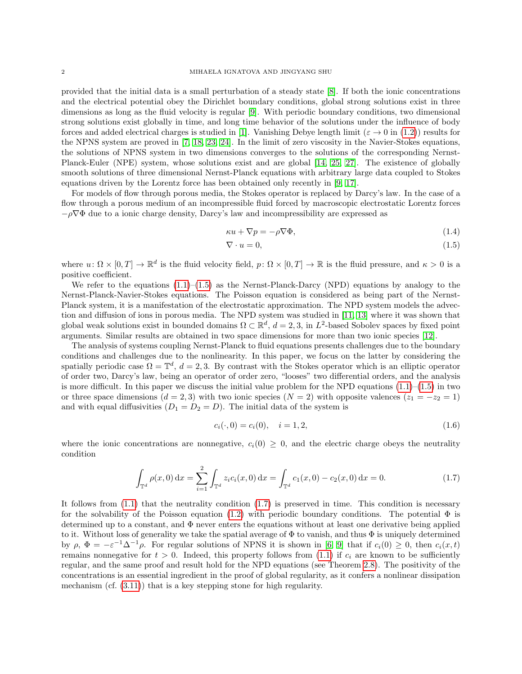provided that the initial data is a small perturbation of a steady state [\[8\]](#page-20-4). If both the ionic concentrations and the electrical potential obey the Dirichlet boundary conditions, global strong solutions exist in three dimensions as long as the fluid velocity is regular [\[9\]](#page-20-5). With periodic boundary conditions, two dimensional strong solutions exist globally in time, and long time behavior of the solutions under the influence of body forces and added electrical charges is studied in [\[1\]](#page-20-6). Vanishing Debye length limit ( $\varepsilon \to 0$  in [\(1.2\)](#page-0-1)) results for the NPNS system are proved in [\[7,](#page-20-7) [18,](#page-21-7) [23,](#page-21-8) [24\]](#page-21-9). In the limit of zero viscosity in the Navier-Stokes equations, the solutions of NPNS system in two dimensions converges to the solutions of the corresponding Nernst-Planck-Euler (NPE) system, whose solutions exist and are global [\[14,](#page-20-8) [25,](#page-21-10) [27\]](#page-21-11). The existence of globally smooth solutions of three dimensional Nernst-Planck equations with arbitrary large data coupled to Stokes equations driven by the Lorentz force has been obtained only recently in [\[9,](#page-20-5) [17\]](#page-21-6).

For models of flow through porous media, the Stokes operator is replaced by Darcy's law. In the case of a flow through a porous medium of an incompressible fluid forced by macroscopic electrostatic Lorentz forces  $-\rho\nabla\Phi$  due to a ionic charge density, Darcy's law and incompressibility are expressed as

$$
\kappa u + \nabla p = -\rho \nabla \Phi,\tag{1.4}
$$

<span id="page-1-2"></span><span id="page-1-0"></span>
$$
\nabla \cdot u = 0,\tag{1.5}
$$

where  $u \colon \Omega \times [0,T] \to \mathbb{R}^d$  is the fluid velocity field,  $p \colon \Omega \times [0,T] \to \mathbb{R}$  is the fluid pressure, and  $\kappa > 0$  is a positive coefficient.

We refer to the equations  $(1.1)$ – $(1.5)$  as the Nernst-Planck-Darcy (NPD) equations by analogy to the Nernst-Planck-Navier-Stokes equations. The Poisson equation is considered as being part of the Nernst-Planck system, it is a manifestation of the electrostatic approximation. The NPD system models the advection and diffusion of ions in porous media. The NPD system was studied in [\[11,](#page-20-9) [13\]](#page-20-10) where it was shown that global weak solutions exist in bounded domains  $\Omega \subset \mathbb{R}^d$ ,  $d=2,3$ , in  $L^2$ -based Sobolev spaces by fixed point arguments. Similar results are obtained in two space dimensions for more than two ionic species [\[12\]](#page-20-11).

The analysis of systems coupling Nernst-Planck to fluid equations presents challenges due to the boundary conditions and challenges due to the nonlinearity. In this paper, we focus on the latter by considering the spatially periodic case  $\Omega = \mathbb{T}^d$ ,  $d = 2, 3$ . By contrast with the Stokes operator which is an elliptic operator of order two, Darcy's law, being an operator of order zero, "looses" two differential orders, and the analysis is more difficult. In this paper we discuss the initial value problem for the NPD equations  $(1.1)$ – $(1.5)$  in two or three space dimensions (d = 2, 3) with two ionic species (N = 2) with opposite valences ( $z_1 = -z_2 = 1$ ) and with equal diffusivities  $(D_1 = D_2 = D)$ . The initial data of the system is

<span id="page-1-3"></span><span id="page-1-1"></span>
$$
c_i(\cdot,0) = c_i(0), \quad i = 1,2,\tag{1.6}
$$

where the ionic concentrations are nonnegative,  $c_i(0) \geq 0$ , and the electric charge obeys the neutrality condition

$$
\int_{\mathbb{T}^d} \rho(x,0) \,dx = \sum_{i=1}^2 \int_{\mathbb{T}^d} z_i c_i(x,0) \,dx = \int_{\mathbb{T}^d} c_1(x,0) - c_2(x,0) \,dx = 0. \tag{1.7}
$$

It follows from  $(1.1)$  that the neutrality condition  $(1.7)$  is preserved in time. This condition is necessary for the solvability of the Poisson equation [\(1.2\)](#page-0-1) with periodic boundary conditions. The potential  $\Phi$  is determined up to a constant, and Φ never enters the equations without at least one derivative being applied to it. Without loss of generality we take the spatial average of  $\Phi$  to vanish, and thus  $\Phi$  is uniquely determined by  $\rho, \Phi = -\varepsilon^{-1}\Delta^{-1}\rho$ . For regular solutions of NPNS it is shown in [\[6,](#page-20-0) [9\]](#page-20-5) that if  $c_i(0) \geq 0$ , then  $c_i(x,t)$ remains nonnegative for  $t > 0$ . Indeed, this property follows from [\(1.1\)](#page-0-0) if  $c_i$  are known to be sufficiently regular, and the same proof and result hold for the NPD equations (see Theorem [2.8\)](#page-6-0). The positivity of the concentrations is an essential ingredient in the proof of global regularity, as it confers a nonlinear dissipation mechanism (cf. [\(3.11\)](#page-8-0)) that is a key stepping stone for high regularity.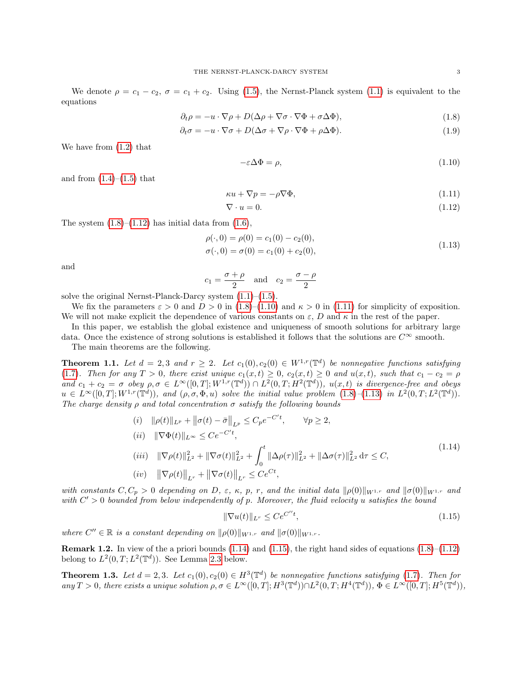We denote  $\rho = c_1 - c_2$ ,  $\sigma = c_1 + c_2$ . Using [\(1.5\)](#page-1-0), the Nernst-Planck system [\(1.1\)](#page-0-0) is equivalent to the equations

$$
\partial_t \rho = -u \cdot \nabla \rho + D(\Delta \rho + \nabla \sigma \cdot \nabla \Phi + \sigma \Delta \Phi), \tag{1.8}
$$

$$
\partial_t \sigma = -u \cdot \nabla \sigma + D(\Delta \sigma + \nabla \rho \cdot \nabla \Phi + \rho \Delta \Phi). \tag{1.9}
$$

We have from [\(1.2\)](#page-0-1) that

<span id="page-2-7"></span><span id="page-2-4"></span><span id="page-2-3"></span><span id="page-2-2"></span><span id="page-2-1"></span><span id="page-2-0"></span>
$$
-\varepsilon \Delta \Phi = \rho,\tag{1.10}
$$

and from  $(1.4)–(1.5)$  $(1.4)–(1.5)$  $(1.4)–(1.5)$  that

$$
\kappa u + \nabla p = -\rho \nabla \Phi,\tag{1.11}
$$

$$
\nabla \cdot u = 0. \tag{1.12}
$$

The system  $(1.8)$ – $(1.12)$  has initial data from  $(1.6)$ ,

$$
\rho(\cdot,0) = \rho(0) = c_1(0) - c_2(0), \n\sigma(\cdot,0) = \sigma(0) = c_1(0) + c_2(0),
$$
\n(1.13)

and

$$
c_1 = \frac{\sigma + \rho}{2} \quad \text{and} \quad c_2 = \frac{\sigma - \rho}{2}
$$

solve the original Nernst-Planck-Darcy system  $(1.1)$ – $(1.5)$ .

 $\overline{c}$ 

We fix the parameters  $\varepsilon > 0$  and  $D > 0$  in [\(1.8\)](#page-2-0)–[\(1.10\)](#page-2-2) and  $\kappa > 0$  in [\(1.11\)](#page-2-3) for simplicity of exposition. We will not make explicit the dependence of various constants on  $\varepsilon$ , D and  $\kappa$  in the rest of the paper.

In this paper, we establish the global existence and uniqueness of smooth solutions for arbitrary large data. Once the existence of strong solutions is established it follows that the solutions are  $C^{\infty}$  smooth.

The main theorems are the following.

<span id="page-2-8"></span>**Theorem 1.1.** Let  $d = 2, 3$  and  $r \geq 2$ . Let  $c_1(0), c_2(0) \in W^{1,r}(\mathbb{T}^d)$  be nonnegative functions satisfying [\(1.7\)](#page-1-1). Then for any  $T > 0$ , there exist unique  $c_1(x,t) \geq 0$ ,  $c_2(x,t) \geq 0$  and  $u(x,t)$ , such that  $c_1 - c_2 = \rho$ and  $c_1 + c_2 = \sigma$  obey  $\rho, \sigma \in L^{\infty}([0, T]; W^{1, r}(\mathbb{T}^d)) \cap L^2(0, T; H^2(\mathbb{T}^d)), u(x, t)$  is divergence-free and obeys  $u \in L^{\infty}([0,T];W^{1,r}(\mathbb{T}^d)),$  and  $(\rho,\sigma,\Phi,u)$  solve the initial value problem  $(1.8)$ - $(1.13)$  in  $L^2(0,T;L^2(\mathbb{T}^d)).$ The charge density  $\rho$  and total concentration  $\sigma$  satisfy the following bounds

$$
(i) \quad ||\rho(t)||_{L^{p}} + ||\sigma(t) - \bar{\sigma}||_{L^{p}} \leq C_{p}e^{-C't}, \qquad \forall p \geq 2,
$$
\n
$$
(ii) \quad ||\nabla\Phi(t)||_{L^{\infty}} \leq Ce^{-C't},
$$
\n
$$
(iii) \quad ||\nabla\rho(t)||_{L^{2}}^{2} + ||\nabla\sigma(t)||_{L^{2}}^{2} + \int_{0}^{t} ||\Delta\rho(\tau)||_{L^{2}}^{2} + ||\Delta\sigma(\tau)||_{L^{2}}^{2} d\tau \leq C,
$$
\n
$$
(iv) \quad ||\nabla\rho(t)||_{L^{r}} + ||\nabla\sigma(t)||_{L^{r}} \leq Ce^{Ct},
$$
\n
$$
(1.14)
$$

with constants  $C, C_p > 0$  depending on D,  $\varepsilon$ ,  $\kappa$ , p, r, and the initial data  $\|\rho(0)\|_{W^{1,r}}$  and  $\|\sigma(0)\|_{W^{1,r}}$  and with  $C' > 0$  bounded from below independently of p. Moreover, the fluid velocity u satisfies the bound

<span id="page-2-6"></span><span id="page-2-5"></span>
$$
\|\nabla u(t)\|_{L^r} \le Ce^{C''t},\tag{1.15}
$$

where  $C'' \in \mathbb{R}$  is a constant depending on  $\|\rho(0)\|_{W^{1,r}}$  and  $\|\sigma(0)\|_{W^{1,r}}$ .

**Remark 1.2.** In view of the a priori bounds  $(1.14)$  and  $(1.15)$ , the right hand sides of equations  $(1.8)$ – $(1.12)$ belong to  $L^2(0,T;L^2(\mathbb{T}^d))$ . See Lemma [2.3](#page-4-0) below.

<span id="page-2-9"></span>**Theorem 1.3.** Let  $d = 2, 3$ . Let  $c_1(0), c_2(0) \in H^3(\mathbb{T}^d)$  be nonnegative functions satisfying [\(1.7\)](#page-1-1). Then for  $\text{any } T > 0, \text{ there exists a unique solution } \rho, \sigma \in L^{\infty}([0, T]; H^3(\mathbb{T}^d)) \cap L^2(0, T; H^4(\mathbb{T}^d)), \Phi \in L^{\infty}([0, T]; H^5(\mathbb{T}^d)),$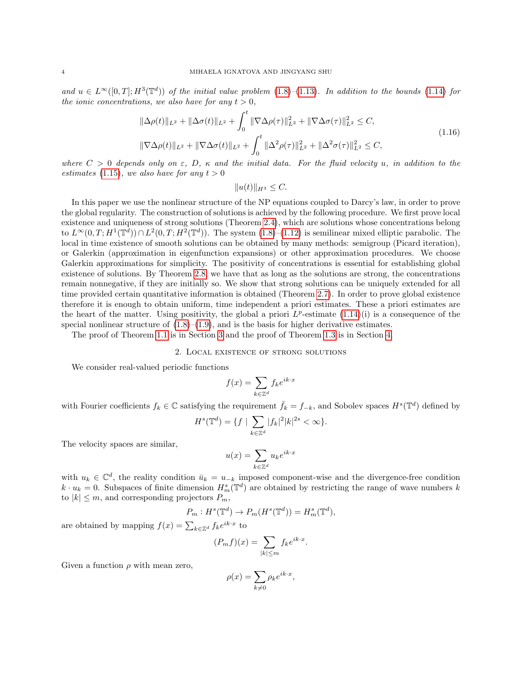and  $u \in L^{\infty}([0,T]; H^3(\mathbb{T}^d))$  of the initial value problem  $(1.8)$ - $(1.13)$ . In addition to the bounds  $(1.14)$  for the ionic concentrations, we also have for any  $t > 0$ ,

$$
\|\Delta \rho(t)\|_{L^2} + \|\Delta \sigma(t)\|_{L^2} + \int_0^t \|\nabla \Delta \rho(\tau)\|_{L^2}^2 + \|\nabla \Delta \sigma(\tau)\|_{L^2}^2 \leq C,
$$
  

$$
\|\nabla \Delta \rho(t)\|_{L^2} + \|\nabla \Delta \sigma(t)\|_{L^2} + \int_0^t \|\Delta^2 \rho(\tau)\|_{L^2}^2 + \|\Delta^2 \sigma(\tau)\|_{L^2}^2 \leq C,
$$
\n(1.16)

where  $C > 0$  depends only on  $\varepsilon$ , D,  $\kappa$  and the initial data. For the fluid velocity u, in addition to the estimates [\(1.15\)](#page-2-6), we also have for any  $t > 0$ 

<span id="page-3-0"></span> $||u(t)||_{H^3} \leq C.$ 

In this paper we use the nonlinear structure of the NP equations coupled to Darcy's law, in order to prove the global regularity. The construction of solutions is achieved by the following procedure. We first prove local existence and uniqueness of strong solutions (Theorem [2.4\)](#page-4-1), which are solutions whose concentrations belong to  $L^{\infty}(0,T;H^1(\mathbb{T}^d)) \cap L^2(0,T;H^2(\mathbb{T}^d))$ . The system  $(1.8)$ – $(1.12)$  is semilinear mixed elliptic parabolic. The local in time existence of smooth solutions can be obtained by many methods: semigroup (Picard iteration), or Galerkin (approximation in eigenfunction expansions) or other approximation procedures. We choose Galerkin approximations for simplicity. The positivity of concentrations is essential for establishing global existence of solutions. By Theorem [2.8,](#page-6-0) we have that as long as the solutions are strong, the concentrations remain nonnegative, if they are initially so. We show that strong solutions can be uniquely extended for all time provided certain quantitative information is obtained (Theorem [2.7\)](#page-6-1). In order to prove global existence therefore it is enough to obtain uniform, time independent a priori estimates. These a priori estimates are the heart of the matter. Using positivity, the global a priori  $L^p$ -estimate  $(1.14)(i)$  $(1.14)(i)$  is a consequence of the special nonlinear structure of  $(1.8)$ – $(1.9)$ , and is the basis for higher derivative estimates.

The proof of Theorem [1.1](#page-2-8) is in Section [3](#page-6-2) and the proof of Theorem [1.3](#page-2-9) is in Section [4.](#page-14-0)

### 2. Local existence of strong solutions

We consider real-valued periodic functions

$$
f(x) = \sum_{k \in \mathbb{Z}^d} f_k e^{ik \cdot x}
$$

with Fourier coefficients  $f_k \in \mathbb{C}$  satisfying the requirement  $\bar{f}_k = f_{-k}$ , and Sobolev spaces  $H^s(\mathbb{T}^d)$  defined by

$$
H^{s}(\mathbb{T}^{d}) = \{ f \mid \sum_{k \in \mathbb{Z}^{d}} |f_{k}|^{2} |k|^{2s} < \infty \}.
$$

The velocity spaces are similar,

$$
u(x)=\sum_{k\in\mathbb{Z}^d}u_ke^{ik\cdot x}
$$

with  $u_k \in \mathbb{C}^d$ , the reality condition  $\bar{u}_k = u_{-k}$  imposed component-wise and the divergence-free condition  $k \cdot u_k = 0$ . Subspaces of finite dimension  $H_m^s(\mathbb{T}^d)$  are obtained by restricting the range of wave numbers k to  $|k| \leq m$ , and corresponding projectors  $P_m$ ,

$$
P_m: H^s(\mathbb{T}^d) \to P_m(H^s(\mathbb{T}^d)) = H^s_m(\mathbb{T}^d),
$$

are obtained by mapping  $f(x) = \sum_{k \in \mathbb{Z}^d} f_k e^{ik \cdot x}$  to

$$
(P_m f)(x) = \sum_{|k| \le m} f_k e^{ik \cdot x}.
$$

Given a function  $\rho$  with mean zero,

$$
\rho(x) = \sum_{k \neq 0} \rho_k e^{ik \cdot x},
$$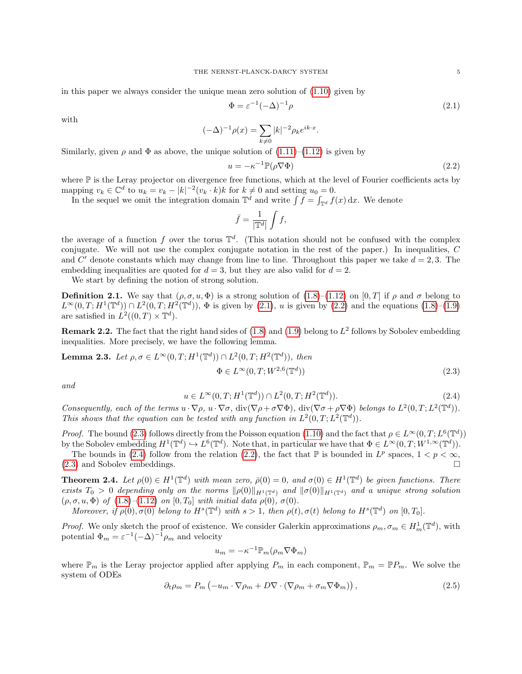in this paper we always consider the unique mean zero solution of [\(1.10\)](#page-2-2) given by

<span id="page-4-2"></span>
$$
\Phi = \varepsilon^{-1} (-\Delta)^{-1} \rho \tag{2.1}
$$

with

$$
(-\Delta)^{-1} \rho(x) = \sum_{k \neq 0} |k|^{-2} \rho_k e^{ik \cdot x}.
$$

Similarly, given  $\rho$  and  $\Phi$  as above, the unique solution of  $(1.11)$ – $(1.12)$  is given by

<span id="page-4-3"></span>
$$
u = -\kappa^{-1} \mathbb{P}(\rho \nabla \Phi) \tag{2.2}
$$

where  $\mathbb P$  is the Leray projector on divergence free functions, which at the level of Fourier coefficients acts by mapping  $v_k \in \mathbb{C}^d$  to  $u_k = v_k - |k|^{-2} (v_k \cdot k) k$  for  $k \neq 0$  and setting  $u_0 = 0$ .

In the sequel we omit the integration domain  $\mathbb{T}^d$  and write  $\int f = \int_{\mathbb{T}^d} f(x) dx$ . We denote

$$
\bar{f} = \frac{1}{|\mathbb{T}^d|} \int f,
$$

the average of a function f over the torus  $\mathbb{T}^d$ . (This notation should not be confused with the complex conjugate. We will not use the complex conjugate notation in the rest of the paper.) In inequalities, C and C' denote constants which may change from line to line. Throughout this paper we take  $d = 2, 3$ . The embedding inequalities are quoted for  $d = 3$ , but they are also valid for  $d = 2$ .

We start by defining the notion of strong solution.

**Definition 2.1.** We say that  $(\rho, \sigma, u, \Phi)$  is a strong solution of  $(1.8)$ – $(1.12)$  on  $[0, T]$  if  $\rho$  and  $\sigma$  belong to  $L^{\infty}(0,T;H^{1}(\mathbb{T}^{d})) \cap L^{2}(0,T;H^{2}(\mathbb{T}^{d}))$ ,  $\Phi$  is given by [\(2.1\)](#page-4-2), u is given by [\(2.2\)](#page-4-3) and the equations [\(1.8\)](#page-2-0)–[\(1.9\)](#page-2-7) are satisfied in  $L^2((0,T)\times \mathbb{T}^d)$ .

**Remark 2.2.** The fact that the right hand sides of  $(1.8)$  and  $(1.9)$  belong to  $L^2$  follows by Sobolev embedding inequalities. More precisely, we have the following lemma.

<span id="page-4-0"></span>**Lemma 2.3.** Let 
$$
\rho, \sigma \in L^{\infty}(0,T; H^1(\mathbb{T}^d)) \cap L^2(0,T; H^2(\mathbb{T}^d)),
$$
 then  $\Phi \in L^{\infty}(0,T; W^{2,6}(\mathbb{T}^d))$  (2.3)

and

<span id="page-4-5"></span><span id="page-4-4"></span>
$$
u \in L^{\infty}(0, T; H^{1}(\mathbb{T}^{d})) \cap L^{2}(0, T; H^{2}(\mathbb{T}^{d})).
$$
\n(2.4)

Consequently, each of the terms  $u \cdot \nabla \rho$ ,  $u \cdot \nabla \sigma$ ,  $\text{div}(\nabla \rho + \sigma \nabla \Phi)$ ,  $\text{div}(\nabla \sigma + \rho \nabla \Phi)$  belongs to  $L^2(0,T; L^2(\mathbb{T}^d))$ . This shows that the equation can be tested with any function in  $L^2(0,T;L^2(\mathbb{T}^d))$ .

*Proof.* The bound [\(2.3\)](#page-4-4) follows directly from the Poisson equation [\(1.10\)](#page-2-2) and the fact that  $\rho \in L^{\infty}(0, T; L^{6}(\mathbb{T}^d))$ by the Sobolev embedding  $H^1(\mathbb{T}^d) \hookrightarrow L^6(\mathbb{T}^d)$ . Note that, in particular we have that  $\Phi \in L^{\infty}(0,T;W^{1,\infty}(\mathbb{T}^d))$ .

The bounds in [\(2.4\)](#page-4-5) follow from the relation [\(2.2\)](#page-4-3), the fact that  $\mathbb P$  is bounded in  $L^p$  spaces,  $1 < p < \infty$ , [\(2.3\)](#page-4-4) and Sobolev embeddings.

<span id="page-4-1"></span>**Theorem 2.4.** Let  $\rho(0) \in H^1(\mathbb{T}^d)$  with mean zero,  $\bar{\rho}(0) = 0$ , and  $\sigma(0) \in H^1(\mathbb{T}^d)$  be given functions. There exists  $T_0 > 0$  depending only on the norms  $\|\rho(0)\|_{H^1(\mathbb{T}^d)}$  and  $\|\sigma(0)\|_{H^1(\mathbb{T}^d)}$  and a unique strong solution  $(\rho, \sigma, u, \Phi)$  of  $(1.8)$ – $(1.12)$  on  $[0, T_0]$  with initial data  $\rho(0), \sigma(0)$ .

Moreover, if  $\rho(0), \sigma(0)$  belong to  $H^s(\mathbb{T}^d)$  with  $s > 1$ , then  $\rho(t), \sigma(t)$  belong to  $H^s(\mathbb{T}^d)$  on  $[0, T_0]$ .

*Proof.* We only sketch the proof of existence. We consider Galerkin approximations  $\rho_m$ ,  $\sigma_m \in H_m^1(\mathbb{T}^d)$ , with potential  $\Phi_m = \varepsilon^{-1}(-\Delta)^{-1} \rho_m$  and velocity

$$
u_m = -\kappa^{-1} \mathbb{P}_m(\rho_m \nabla \Phi_m)
$$

where  $\mathbb{P}_m$  is the Leray projector applied after applying  $P_m$  in each component,  $\mathbb{P}_m = \mathbb{P}P_m$ . We solve the system of ODEs

$$
\partial_t \rho_m = P_m \left( -u_m \cdot \nabla \rho_m + D \nabla \cdot (\nabla \rho_m + \sigma_m \nabla \Phi_m) \right), \tag{2.5}
$$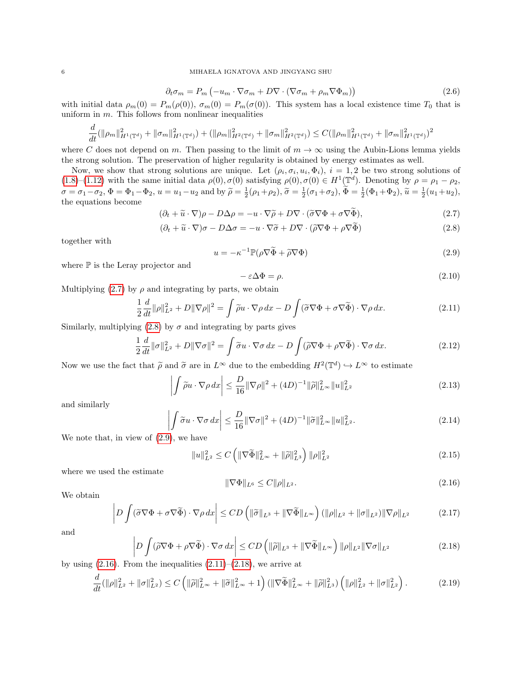$$
\partial_t \sigma_m = P_m \left( -u_m \cdot \nabla \sigma_m + D \nabla \cdot (\nabla \sigma_m + \rho_m \nabla \Phi_m) \right) \tag{2.6}
$$

with initial data  $\rho_m(0) = P_m(\rho(0)), \sigma_m(0) = P_m(\sigma(0)).$  This system has a local existence time  $T_0$  that is uniform in  $m$ . This follows from nonlinear inequalities

$$
\frac{d}{dt}(\|\rho_m\|_{H^1(\mathbb{T}^d)}^2 + \|\sigma_m\|_{H^1(\mathbb{T}^d)}^2) + (\|\rho_m\|_{H^2(\mathbb{T}^d)}^2 + \|\sigma_m\|_{H^2(\mathbb{T}^d)}^2) \leq C(\|\rho_m\|_{H^1(\mathbb{T}^d)}^2 + \|\sigma_m\|_{H^1(\mathbb{T}^d)}^2)^2
$$

where C does not depend on m. Then passing to the limit of  $m \to \infty$  using the Aubin-Lions lemma yields the strong solution. The preservation of higher regularity is obtained by energy estimates as well.

Now, we show that strong solutions are unique. Let  $(\rho_i, \sigma_i, u_i, \Phi_i)$ ,  $i = 1, 2$  be two strong solutions of [\(1.8\)](#page-2-0)–[\(1.12\)](#page-2-1) with the same initial data  $\rho(0), \sigma(0)$  satisfying  $\rho(0), \sigma(0) \in H^1(\mathbb{T}^d)$ . Denoting by  $\rho = \rho_1 - \rho_2$ ,  $\sigma = \sigma_1 - \sigma_2$ ,  $\Phi = \Phi_1 - \Phi_2$ ,  $u = u_1 - u_2$  and by  $\tilde{\rho} = \frac{1}{2}(\rho_1 + \rho_2)$ ,  $\tilde{\sigma} = \frac{1}{2}(\sigma_1 + \sigma_2)$ ,  $\tilde{\Phi} = \frac{1}{2}(\Phi_1 + \Phi_2)$ ,  $\tilde{u} = \frac{1}{2}(u_1 + u_2)$ , the ocustions become the equations become

<span id="page-5-0"></span>
$$
(\partial_t + \widetilde{u} \cdot \nabla)\rho - D\Delta\rho = -u \cdot \nabla\widetilde{\rho} + D\nabla \cdot (\widetilde{\sigma}\nabla\Phi + \sigma\nabla\widetilde{\Phi}),\tag{2.7}
$$

<span id="page-5-1"></span>
$$
(\partial_t + \widetilde{u} \cdot \nabla)\sigma - D\Delta\sigma = -u \cdot \nabla\widetilde{\sigma} + D\nabla \cdot (\widetilde{\rho}\nabla\Phi + \rho\nabla\Phi)
$$
\n(2.8)

together with

<span id="page-5-2"></span>
$$
u = -\kappa^{-1} \mathbb{P}(\rho \nabla \widetilde{\Phi} + \widetilde{\rho} \nabla \Phi)
$$
\n(2.9)

where  $\mathbb P$  is the Leray projector and

$$
-\varepsilon \Delta \Phi = \rho. \tag{2.10}
$$

Multiplying [\(2.7\)](#page-5-0) by  $\rho$  and integrating by parts, we obtain

<span id="page-5-4"></span>
$$
\frac{1}{2}\frac{d}{dt}\|\rho\|_{L^2}^2 + D\|\nabla\rho\|^2 = \int \widetilde{\rho}u \cdot \nabla\rho \,dx - D\int (\widetilde{\sigma}\nabla\Phi + \sigma\nabla\widetilde{\Phi}) \cdot \nabla\rho \,dx. \tag{2.11}
$$

Similarly, multiplying [\(2.8\)](#page-5-1) by  $\sigma$  and integrating by parts gives

$$
\frac{1}{2}\frac{d}{dt}\|\sigma\|_{L^2}^2 + D\|\nabla\sigma\|^2 = \int \tilde{\sigma}u \cdot \nabla\sigma \,dx - D\int (\tilde{\rho}\nabla\Phi + \rho\nabla\tilde{\Phi}) \cdot \nabla\sigma \,dx. \tag{2.12}
$$

Now we use the fact that  $\tilde{\rho}$  and  $\tilde{\sigma}$  are in  $L^{\infty}$  due to the embedding  $H^2(\mathbb{T}^d) \hookrightarrow L^{\infty}$  to estimate

$$
\left| \int \widetilde{\rho} u \cdot \nabla \rho \, dx \right| \le \frac{D}{16} \|\nabla \rho\|^2 + (4D)^{-1} \|\widetilde{\rho}\|_{L^\infty}^2 \|u\|_{L^2}^2 \tag{2.13}
$$

and similarly

$$
\left| \int \widetilde{\sigma} u \cdot \nabla \sigma \, dx \right| \le \frac{D}{16} \|\nabla \sigma\|^2 + (4D)^{-1} \|\widetilde{\sigma}\|_{L^\infty}^2 \|u\|_{L^2}^2. \tag{2.14}
$$

We note that, in view of [\(2.9\)](#page-5-2), we have

$$
||u||_{L^{2}}^{2} \leq C \left( \|\nabla \widetilde{\Phi}\|_{L^{\infty}}^{2} + \|\widetilde{\rho}\|_{L^{3}}^{2} \right) ||\rho||_{L^{2}}^{2} \tag{2.15}
$$

where we used the estimate

<span id="page-5-3"></span>
$$
\|\nabla\Phi\|_{L^6} \le C \|\rho\|_{L^2}.
$$
\n(2.16)

We obtain

$$
\left| D \int (\tilde{\sigma} \nabla \Phi + \sigma \nabla \tilde{\Phi}) \cdot \nabla \rho \, dx \right| \le CD \left( \| \tilde{\sigma} \|_{L^3} + \| \nabla \tilde{\Phi} \|_{L^\infty} \right) (\|\rho\|_{L^2} + \|\sigma\|_{L^2}) \|\nabla \rho\|_{L^2}
$$
\n(2.17)

and

<span id="page-5-5"></span>
$$
\left| D \int (\tilde{\rho} \nabla \Phi + \rho \nabla \tilde{\Phi}) \cdot \nabla \sigma \, dx \right| \le CD \left( \| \tilde{\rho} \|_{L^3} + \| \nabla \tilde{\Phi} \|_{L^\infty} \right) \| \rho \|_{L^2} \| \nabla \sigma \|_{L^2}
$$
\n(2.18)

by using  $(2.16)$ . From the inequalities  $(2.11)$ – $(2.18)$ , we arrive at

<span id="page-5-6"></span>
$$
\frac{d}{dt}(\|\rho\|_{L^2}^2 + \|\sigma\|_{L^2}^2) \le C\left(\|\tilde{\rho}\|_{L^\infty}^2 + \|\tilde{\sigma}\|_{L^\infty}^2 + 1\right) \left(\|\nabla\tilde{\Phi}\|_{L^\infty}^2 + \|\tilde{\rho}\|_{L^3}^2\right) \left(\|\rho\|_{L^2}^2 + \|\sigma\|_{L^2}^2\right). \tag{2.19}
$$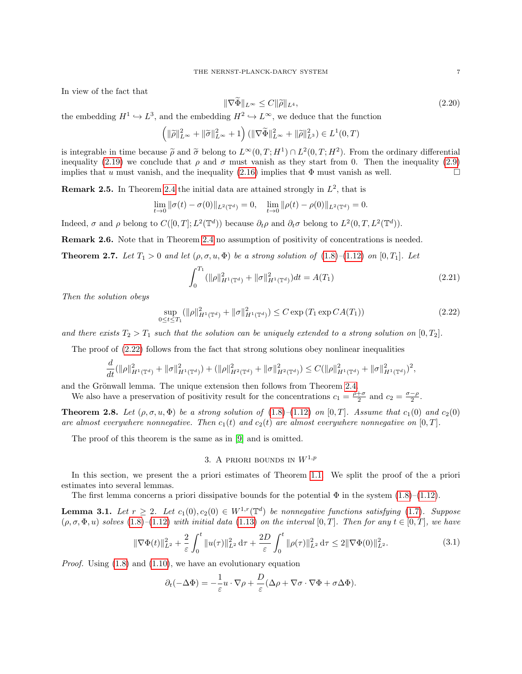In view of the fact that

$$
\|\nabla\Phi\|_{L^{\infty}} \le C\|\tilde{\rho}\|_{L^{4}},\tag{2.20}
$$

the embedding  $H^1 \hookrightarrow L^3$ , and the embedding  $H^2 \hookrightarrow L^{\infty}$ , we deduce that the function

$$
\left(\|\widetilde{\rho}\|_{L^{\infty}}^2 + \|\widetilde{\sigma}\|_{L^{\infty}}^2 + 1\right) \left(\|\nabla \widetilde{\Phi}\|_{L^{\infty}}^2 + \|\widetilde{\rho}\|_{L^3}^2\right) \in L^1(0, T)
$$

is integrable in time because  $\tilde{\rho}$  and  $\tilde{\sigma}$  belong to  $L^{\infty}(0,T;H^1) \cap L^2(0,T;H^2)$ . From the ordinary differential<br>inoquality (2.10) we conclude that a and  $\sigma$  must vanish as thoy start from 0. Then the inoqualit inequality [\(2.19\)](#page-5-6) we conclude that  $\rho$  and  $\sigma$  must vanish as they start from 0. Then the inequality [\(2.9\)](#page-5-2) implies that u must vanish, and the inequality [\(2.16\)](#page-5-3) implies that  $\Phi$  must vanish as well.

**Remark 2.5.** In Theorem [2.4](#page-4-1) the initial data are attained strongly in  $L^2$ , that is

$$
\lim_{t \to 0} \|\sigma(t) - \sigma(0)\|_{L^2(\mathbb{T}^d)} = 0, \quad \lim_{t \to 0} \|\rho(t) - \rho(0)\|_{L^2(\mathbb{T}^d)} = 0.
$$

Indeed,  $\sigma$  and  $\rho$  belong to  $C([0,T]; L^2(\mathbb{T}^d))$  because  $\partial_t \rho$  and  $\partial_t \sigma$  belong to  $L^2(0,T, L^2(\mathbb{T}^d))$ .

Remark 2.6. Note that in Theorem [2.4](#page-4-1) no assumption of positivity of concentrations is needed.

<span id="page-6-1"></span>**Theorem 2.7.** Let  $T_1 > 0$  and let  $(\rho, \sigma, u, \Phi)$  be a strong solution of  $(1.8)$ – $(1.12)$  on  $[0, T_1]$ . Let

$$
\int_0^{T_1} (||\rho||_{H^1(\mathbb{T}^d)}^2 + ||\sigma||_{H^1(\mathbb{T}^d)}^2) dt = A(T_1)
$$
\n(2.21)

Then the solution obeys

<span id="page-6-3"></span>
$$
\sup_{0 \le t \le T_1} (\|\rho\|_{H^1(\mathbb{T}^d)}^2 + \|\sigma\|_{H^1(\mathbb{T}^d)}^2) \le C \exp\left(T_1 \exp CA(T_1)\right) \tag{2.22}
$$

and there exists  $T_2 > T_1$  such that the solution can be uniquely extended to a strong solution on  $[0, T_2]$ .

The proof of [\(2.22\)](#page-6-3) follows from the fact that strong solutions obey nonlinear inequalities

$$
\frac{d}{dt}(\|\rho\|_{H^1(\mathbb{T}^d)}^2+\|\sigma\|_{H^1(\mathbb{T}^d)}^2)+(\|\rho\|_{H^2(\mathbb{T}^d)}^2+\|\sigma\|_{H^2(\mathbb{T}^d)}^2)\leq C(\|\rho\|_{H^1(\mathbb{T}^d)}^2+\|\sigma\|_{H^1(\mathbb{T}^d)}^2)^2,
$$

and the Grönwall lemma. The unique extension then follows from Theorem [2.4.](#page-4-1)

We also have a preservation of positivity result for the concentrations  $c_1 = \frac{\rho + \sigma}{2}$  and  $c_2 = \frac{\sigma - \rho}{2}$ .

<span id="page-6-0"></span>**Theorem 2.8.** Let  $(\rho, \sigma, u, \Phi)$  be a strong solution of [\(1.8\)](#page-2-0)–[\(1.12\)](#page-2-1) on [0, T]. Assume that  $c_1(0)$  and  $c_2(0)$ are almost everywhere nonnegative. Then  $c_1(t)$  and  $c_2(t)$  are almost everywhere nonnegative on [0, T].

The proof of this theorem is the same as in [\[9\]](#page-20-5) and is omitted.

# <span id="page-6-4"></span>3. A PRIORI BOUNDS IN  $W^{1,p}$

<span id="page-6-2"></span>In this section, we present the a priori estimates of Theorem [1.1.](#page-2-8) We split the proof of the a priori estimates into several lemmas.

The first lemma concerns a priori dissipative bounds for the potential  $\Phi$  in the system [\(1.8\)](#page-2-0)–[\(1.12\)](#page-2-1).

**Lemma 3.1.** Let  $r \geq 2$ . Let  $c_1(0), c_2(0) \in W^{1,r}(\mathbb{T}^d)$  be nonnegative functions satisfying [\(1.7\)](#page-1-1). Suppose  $(\rho, \sigma, \Phi, u)$  solves [\(1.8\)](#page-2-0)–[\(1.12\)](#page-2-1) with initial data [\(1.13\)](#page-2-4) on the interval [0, T]. Then for any  $t \in [0, T]$ , we have

$$
\|\nabla\Phi(t)\|_{L^2}^2 + \frac{2}{\varepsilon} \int_0^t \|u(\tau)\|_{L^2}^2 \,d\tau + \frac{2D}{\varepsilon} \int_0^t \|\rho(\tau)\|_{L^2}^2 \,d\tau \le 2\|\nabla\Phi(0)\|_{L^2}^2. \tag{3.1}
$$

*Proof.* Using  $(1.8)$  and  $(1.10)$ , we have an evolutionary equation

$$
\partial_t(-\Delta \Phi) = -\frac{1}{\varepsilon}u \cdot \nabla \rho + \frac{D}{\varepsilon}(\Delta \rho + \nabla \sigma \cdot \nabla \Phi + \sigma \Delta \Phi).
$$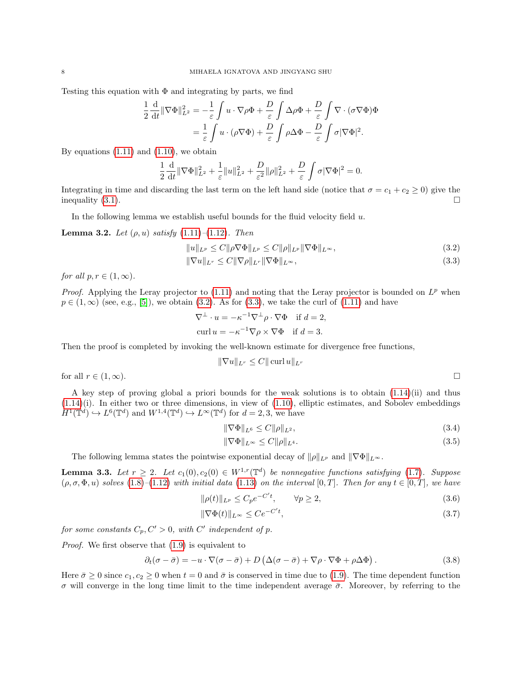Testing this equation with  $\Phi$  and integrating by parts, we find

$$
\frac{1}{2} \frac{d}{dt} \|\nabla \Phi\|_{L^2}^2 = -\frac{1}{\varepsilon} \int u \cdot \nabla \rho \Phi + \frac{D}{\varepsilon} \int \Delta \rho \Phi + \frac{D}{\varepsilon} \int \nabla \cdot (\sigma \nabla \Phi) \Phi
$$

$$
= \frac{1}{\varepsilon} \int u \cdot (\rho \nabla \Phi) + \frac{D}{\varepsilon} \int \rho \Delta \Phi - \frac{D}{\varepsilon} \int \sigma |\nabla \Phi|^2.
$$

By equations  $(1.11)$  and  $(1.10)$ , we obtain

$$
\frac{1}{2}\frac{\mathrm{d}}{\mathrm{d}t}\|\nabla\Phi\|_{L^2}^2 + \frac{1}{\varepsilon}\|u\|_{L^2}^2 + \frac{D}{\varepsilon^2}\|\rho\|_{L^2}^2 + \frac{D}{\varepsilon}\int\sigma|\nabla\Phi|^2 = 0.
$$

Integrating in time and discarding the last term on the left hand side (notice that  $\sigma = c_1 + c_2 \ge 0$ ) give the inequality  $(3.1)$ .

In the following lemma we establish useful bounds for the fluid velocity field  $u$ .

**Lemma 3.2.** Let  $(\rho, u)$  satisfy  $(1.11)$ – $(1.12)$ . Then

$$
||u||_{L^p} \le C||\rho \nabla \Phi||_{L^p} \le C||\rho||_{L^p}||\nabla \Phi||_{L^\infty},\tag{3.2}
$$

$$
\|\nabla u\|_{L^r} \le C \|\nabla \rho\|_{L^r} \|\nabla \Phi\|_{L^\infty},\tag{3.3}
$$

for all  $p, r \in (1, \infty)$ .

*Proof.* Applying the Leray projector to  $(1.11)$  and noting that the Leray projector is bounded on  $L^p$  when  $p \in (1,\infty)$  (see, e.g., [\[5\]](#page-20-12)), we obtain [\(3.2\)](#page-7-0). As for [\(3.3\)](#page-7-1), we take the curl of [\(1.11\)](#page-2-3) and have

$$
\nabla^{\perp} \cdot u = -\kappa^{-1} \nabla^{\perp} \rho \cdot \nabla \Phi \quad \text{if } d = 2,
$$
  
curl  $u = -\kappa^{-1} \nabla \rho \times \nabla \Phi \quad \text{if } d = 3.$ 

Then the proof is completed by invoking the well-known estimate for divergence free functions,

<span id="page-7-1"></span><span id="page-7-0"></span>
$$
\|\nabla u\|_{L^r}\leq C\|\operatorname{curl} u\|_{L^r}
$$

for all  $r \in (1,\infty)$ .

A key step of proving global a priori bounds for the weak solutions is to obtain  $(1.14)(ii)$  $(1.14)(ii)$  and thus  $(1.14)(i)$  $(1.14)(i)$ . In either two or three dimensions, in view of  $(1.10)$ , elliptic estimates, and Sobolev embeddings  $H^1(\mathbb{T}^d) \hookrightarrow L^6(\mathbb{T}^d)$  and  $W^{1,4}(\mathbb{T}^d) \hookrightarrow L^{\infty}(\mathbb{T}^d)$  for  $d = 2,3$ , we have

$$
\|\nabla\Phi\|_{L^6} \le C \|\rho\|_{L^2},\tag{3.4}
$$

<span id="page-7-6"></span><span id="page-7-5"></span><span id="page-7-4"></span><span id="page-7-3"></span><span id="page-7-2"></span>
$$
\|\nabla\Phi\|_{L^{\infty}} \le C\|\rho\|_{L^{4}}.\tag{3.5}
$$

The following lemma states the pointwise exponential decay of  $\|\rho\|_{L^p}$  and  $\|\nabla\Phi\|_{L^{\infty}}$ .

**Lemma 3.3.** Let  $r \geq 2$ . Let  $c_1(0), c_2(0) \in W^{1,r}(\mathbb{T}^d)$  be nonnegative functions satisfying [\(1.7\)](#page-1-1). Suppose  $(\rho, \sigma, \Phi, u)$  solves [\(1.8\)](#page-2-0)–[\(1.12\)](#page-2-1) with initial data [\(1.13\)](#page-2-4) on the interval [0, T]. Then for any  $t \in [0, T]$ , we have

$$
\|\rho(t)\|_{L^p} \le C_p e^{-C't}, \qquad \forall p \ge 2,
$$
\n
$$
(3.6)
$$

$$
\|\nabla\Phi(t)\|_{L^{\infty}} \le Ce^{-C't},\tag{3.7}
$$

for some constants  $C_p, C' > 0$ , with C' independent of p.

Proof. We first observe that  $(1.9)$  is equivalent to

$$
\partial_t(\sigma - \bar{\sigma}) = -u \cdot \nabla(\sigma - \bar{\sigma}) + D(\Delta(\sigma - \bar{\sigma}) + \nabla\rho \cdot \nabla\Phi + \rho\Delta\Phi). \tag{3.8}
$$

Here  $\bar{\sigma} \geq 0$  since  $c_1, c_2 \geq 0$  when  $t = 0$  and  $\bar{\sigma}$  is conserved in time due to [\(1.9\)](#page-2-7). The time dependent function σ will converge in the long time limit to the time independent average  $\bar{\sigma}$ . Moreover, by referring to the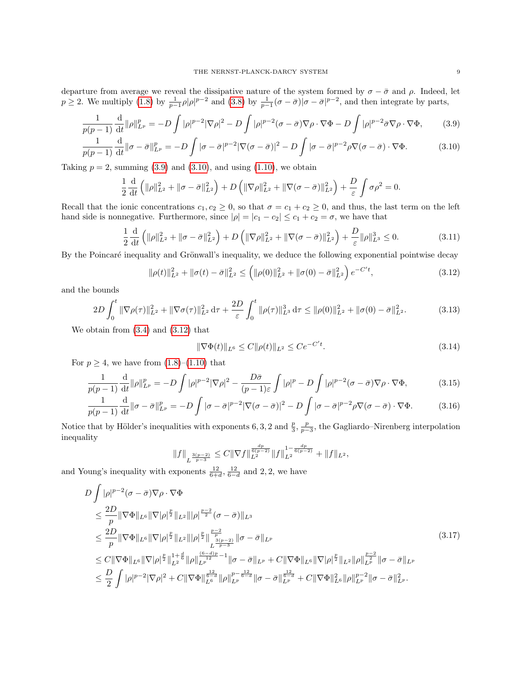departure from average we reveal the dissipative nature of the system formed by  $\sigma - \bar{\sigma}$  and  $\rho$ . Indeed, let  $p \geq 2$ . We multiply [\(1.8\)](#page-2-0) by  $\frac{1}{p-1}\rho|\rho|^{p-2}$  and [\(3.8\)](#page-7-2) by  $\frac{1}{p-1}(\sigma-\bar{\sigma})|\sigma-\bar{\sigma}|^{p-2}$ , and then integrate by parts,

$$
\frac{1}{p(p-1)}\frac{\mathrm{d}}{\mathrm{d}t}\|\rho\|_{L^p}^p = -D\int |\rho|^{p-2}|\nabla \rho|^2 - D\int |\rho|^{p-2}(\sigma-\bar{\sigma})\nabla \rho \cdot \nabla \Phi - D\int |\rho|^{p-2}\bar{\sigma}\nabla \rho \cdot \nabla \Phi,\tag{3.9}
$$

$$
\frac{1}{p(p-1)}\frac{\mathrm{d}}{\mathrm{d}t}\|\sigma-\bar{\sigma}\|_{L^p}^p = -D\int |\sigma-\bar{\sigma}|^{p-2}|\nabla(\sigma-\bar{\sigma})|^2 - D\int |\sigma-\bar{\sigma}|^{p-2}\rho\nabla(\sigma-\bar{\sigma})\cdot\nabla\Phi. \tag{3.10}
$$

Taking  $p = 2$ , summing [\(3.9\)](#page-8-1) and [\(3.10\)](#page-8-2), and using [\(1.10\)](#page-2-2), we obtain

<span id="page-8-1"></span>
$$
\frac{1}{2}\frac{\mathrm{d}}{\mathrm{d}t}\left(\|\rho\|_{L^2}^2 + \|\sigma - \bar{\sigma}\|_{L^2}^2\right) + D\left(\|\nabla \rho\|_{L^2}^2 + \|\nabla(\sigma - \bar{\sigma})\|_{L^2}^2\right) + \frac{D}{\varepsilon}\int \sigma \rho^2 = 0.
$$

Recall that the ionic concentrations  $c_1, c_2 \ge 0$ , so that  $\sigma = c_1 + c_2 \ge 0$ , and thus, the last term on the left hand side is nonnegative. Furthermore, since  $|\rho| = |c_1 - c_2| \le c_1 + c_2 = \sigma$ , we have that

$$
\frac{1}{2}\frac{\mathrm{d}}{\mathrm{d}t}\left(\|\rho\|_{L^2}^2 + \|\sigma - \bar{\sigma}\|_{L^2}^2\right) + D\left(\|\nabla\rho\|_{L^2}^2 + \|\nabla(\sigma - \bar{\sigma})\|_{L^2}^2\right) + \frac{D}{\varepsilon}\|\rho\|_{L^3}^3 \le 0. \tag{3.11}
$$

By the Poincaré inequality and Grönwall's inequality, we deduce the following exponential pointwise decay

<span id="page-8-2"></span>
$$
\|\rho(t)\|_{L^2}^2 + \|\sigma(t) - \bar{\sigma}\|_{L^2}^2 \le \left( \|\rho(0)\|_{L^2}^2 + \|\sigma(0) - \bar{\sigma}\|_{L^2}^2 \right) e^{-C't},\tag{3.12}
$$

and the bounds

$$
2D\int_0^t \|\nabla \rho(\tau)\|_{L^2}^2 + \|\nabla \sigma(\tau)\|_{L^2}^2 d\tau + \frac{2D}{\varepsilon} \int_0^t \|\rho(\tau)\|_{L^3}^3 d\tau \le \|\rho(0)\|_{L^2}^2 + \|\sigma(0) - \bar{\sigma}\|_{L^2}^2. \tag{3.13}
$$

We obtain from [\(3.4\)](#page-7-3) and [\(3.12\)](#page-8-3) that

<span id="page-8-8"></span><span id="page-8-7"></span><span id="page-8-6"></span><span id="page-8-5"></span><span id="page-8-3"></span><span id="page-8-0"></span>
$$
\|\nabla\Phi(t)\|_{L^6} \le C\|\rho(t)\|_{L^2} \le Ce^{-C't}.\tag{3.14}
$$

For  $p \geq 4$ , we have from  $(1.8)$ – $(1.10)$  that

$$
\frac{1}{p(p-1)}\frac{\mathrm{d}}{\mathrm{d}t}\|\rho\|_{L^p}^p = -D\int |\rho|^{p-2}|\nabla \rho|^2 - \frac{D\bar{\sigma}}{(p-1)\varepsilon}\int |\rho|^p - D\int |\rho|^{p-2}(\sigma-\bar{\sigma})\nabla \rho \cdot \nabla \Phi,\tag{3.15}
$$

$$
\frac{1}{p(p-1)}\frac{\mathrm{d}}{\mathrm{d}t}\|\sigma-\bar{\sigma}\|_{L^p}^p = -D\int |\sigma-\bar{\sigma}|^{p-2}|\nabla(\sigma-\bar{\sigma})|^2 - D\int |\sigma-\bar{\sigma}|^{p-2}\rho\nabla(\sigma-\bar{\sigma})\cdot\nabla\Phi. \tag{3.16}
$$

Notice that by Hölder's inequalities with exponents 6, 3, 2 and  $\frac{p}{3}$ ,  $\frac{p}{p-3}$ , the Gagliardo–Nirenberg interpolation inequality

<span id="page-8-4"></span>
$$
||f||_{L^{\frac{3(p-2)}{p-3}}} \leq C||\nabla f||_{L^2}^{\frac{dp}{6(p-2)}}||f||_{L^2}^{1-\frac{dp}{6(p-2)}} + ||f||_{L^2},
$$

and Young's inequality with exponents  $\frac{12}{6+d}$ ,  $\frac{12}{6-d}$  and 2, 2, we have

$$
D \int |\rho|^{p-2} (\sigma - \bar{\sigma}) \nabla \rho \cdot \nabla \Phi
$$
  
\n
$$
\leq \frac{2D}{p} \|\nabla \Phi\|_{L^6} \|\nabla |\rho|^{\frac{p}{2}} \|_{L^2} \|\rho|^{\frac{p-2}{2}} (\sigma - \bar{\sigma}) \|_{L^3}
$$
  
\n
$$
\leq \frac{2D}{p} \|\nabla \Phi\|_{L^6} \|\nabla |\rho|^{\frac{p}{2}} \|_{L^2} \|\rho|^{\frac{p}{2}} \|\frac{p-2}{p-3} \|\sigma - \bar{\sigma} \|_{L^p}
$$
  
\n
$$
\leq C \|\nabla \Phi\|_{L^6} \|\nabla |\rho|^{\frac{p}{2}} \|_{L^2}^{1 + \frac{d}{6}} \|\rho\|_{L^{p}}^{\frac{(6-d)p}{2} - 1} \|\sigma - \bar{\sigma} \|_{L^p} + C \|\nabla \Phi\|_{L^6} \|\nabla |\rho|^{\frac{p}{2}} \|_{L^2} \|\rho\|_{L^p}^{\frac{p-2}{2}} \|\sigma - \bar{\sigma} \|_{L^p}
$$
  
\n
$$
\leq \frac{D}{2} \int |\rho|^{p-2} |\nabla \rho|^2 + C \|\nabla \Phi\|_{L^6}^{\frac{12}{6-d}} \|\rho\|_{L^p}^{p - \frac{12}{6-d}} \|\sigma - \bar{\sigma} \|_{L^p}^{\frac{12}{6-d}} + C \|\nabla \Phi\|_{L^6}^2 \|\rho\|_{L^p}^{p-2} \|\sigma - \bar{\sigma} \|_{L^p}^2.
$$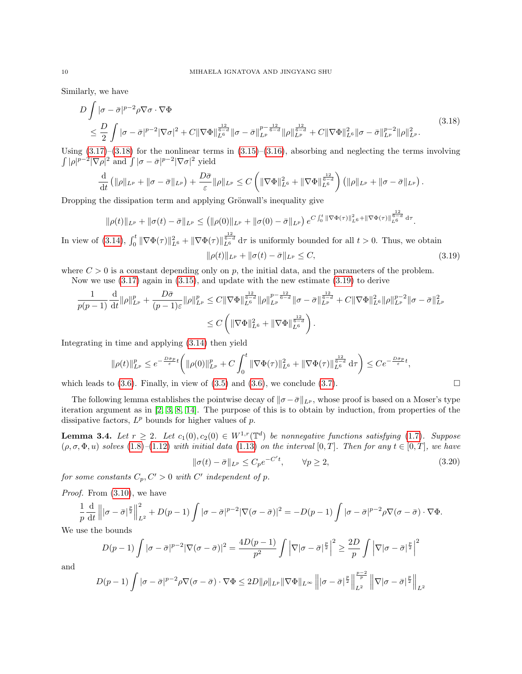Similarly, we have

$$
D \int |\sigma - \bar{\sigma}|^{p-2} \rho \nabla \sigma \cdot \nabla \Phi
$$
\n
$$
\leq \frac{D}{2} \int |\sigma - \bar{\sigma}|^{p-2} |\nabla \sigma|^2 + C \|\nabla \Phi\|_{L^6}^{\frac{12}{6-d}} \|\sigma - \bar{\sigma}\|_{L^p}^{p - \frac{12}{6-d}} \|\rho\|_{L^p}^{\frac{12}{6-d}} + C \|\nabla \Phi\|_{L^6}^2 \|\sigma - \bar{\sigma}\|_{L^p}^{p-2} \|\rho\|_{L^p}^2.
$$
\n(3.18)

Using  $(3.17)-(3.18)$  $(3.17)-(3.18)$  $(3.17)-(3.18)$  for the nonlinear terms in  $(3.15)-(3.16)$  $(3.15)-(3.16)$  $(3.15)-(3.16)$ , absorbing and neglecting the terms involving  $\int |\rho|^{p-2} |\nabla \rho|^2$  and  $\int |\sigma - \bar{\sigma}|^{p-2} |\nabla \sigma|^2$  yield

<span id="page-9-0"></span>
$$
\frac{\mathrm{d}}{\mathrm{d}t}\left(\|\rho\|_{L^p}+\|\sigma-\bar{\sigma}\|_{L^p}\right)+\frac{D\bar{\sigma}}{\varepsilon}\|\rho\|_{L^p}\leq C\left(\|\nabla\Phi\|_{L^6}^2+\|\nabla\Phi\|_{L^6}^{\frac{12}{6-d}}\right)\left(\|\rho\|_{L^p}+\|\sigma-\bar{\sigma}\|_{L^p}\right).
$$

Dropping the dissipation term and applying Grönwall's inequality give

$$
\|\rho(t)\|_{L^p} + \|\sigma(t) - \bar{\sigma}\|_{L^p} \leq \left( \|\rho(0)\|_{L^p} + \|\sigma(0) - \bar{\sigma}\|_{L^p} \right) e^{C \int_0^t \|\nabla \Phi(\tau)\|_{L^6}^2 + \|\nabla \Phi(\tau)\|_{L^6}^{\frac{12}{6-d}} d\tau}.
$$

In view of [\(3.14\)](#page-8-7),  $\int_0^t \|\nabla \Phi(\tau)\|_{L^6}^2 + \|\nabla \Phi(\tau)\|_{L^6}^{\frac{12}{6-d}} d\tau$  is uniformly bounded for all  $t > 0$ . Thus, we obtain  $\|\rho(t)\|_{L^p} + \|\sigma(t) - \bar{\sigma}\|_{L^p} \leq C,$  (3.19)

where  $C > 0$  is a constant depending only on p, the initial data, and the parameters of the problem.

Now we use [\(3.17\)](#page-8-4) again in [\(3.15\)](#page-8-5), and update with the new estimate [\(3.19\)](#page-9-1) to derive

$$
\frac{1}{p(p-1)}\frac{\mathrm{d}}{\mathrm{d}t}\|\rho\|_{L^p}^p + \frac{D\bar{\sigma}}{(p-1)\varepsilon}\|\rho\|_{L^p}^p \leq C\|\nabla\Phi\|_{L^6}^{\frac{12}{6-d}}\|\rho\|_{L^p}^{p-\frac{12}{6-d}}\|\sigma-\bar{\sigma}\|_{L^p}^{\frac{12}{6-d}} + C\|\nabla\Phi\|_{L^6}^2\|\rho\|_{L^p}^{p-2}\|\sigma-\bar{\sigma}\|_{L^p}^2
$$
  

$$
\leq C\left(\|\nabla\Phi\|_{L^6}^2 + \|\nabla\Phi\|_{L^6}^{\frac{12}{6-d}}\right).
$$

Integrating in time and applying [\(3.14\)](#page-8-7) then yield

$$
\|\rho(t)\|_{L^p}^p \le e^{-\frac{D\bar{\sigma}_p}{\varepsilon}t} \left( \|\rho(0)\|_{L^p}^p + C \int_0^t \|\nabla\Phi(\tau)\|_{L^6}^2 + \|\nabla\Phi(\tau)\|_{L^6}^{\frac{12}{6-d}} d\tau \right) \le Ce^{-\frac{D\bar{\sigma}_p}{\varepsilon}t},
$$

which leads to  $(3.6)$ . Finally, in view of  $(3.5)$  and  $(3.6)$ , we conclude  $(3.7)$ .

The following lemma establishes the pointwise decay of  $\|\sigma - \bar{\sigma}\|_{L^p}$ , whose proof is based on a Moser's type iteration argument as in [\[2,](#page-20-3) [3,](#page-20-13) [8,](#page-20-4) [14\]](#page-20-8). The purpose of this is to obtain by induction, from properties of the dissipative factors,  $L^p$  bounds for higher values of  $p$ .

**Lemma 3.4.** Let  $r \geq 2$ . Let  $c_1(0), c_2(0) \in W^{1,r}(\mathbb{T}^d)$  be nonnegative functions satisfying [\(1.7\)](#page-1-1). Suppose  $(\rho, \sigma, \Phi, u)$  solves  $(1.8)$ – $(1.12)$  with initial data  $(1.13)$  on the interval  $[0, T]$ . Then for any  $t \in [0, T]$ , we have

<span id="page-9-2"></span><span id="page-9-1"></span>
$$
\|\sigma(t) - \bar{\sigma}\|_{L^p} \le C_p e^{-C't}, \qquad \forall p \ge 2,
$$
\n(3.20)

for some constants  $C_p, C' > 0$  with  $C'$  independent of p.

Proof. From  $(3.10)$ , we have

$$
\frac{1}{p}\frac{\mathrm{d}}{\mathrm{d}t}\left\||\sigma-\bar{\sigma}|^{\frac{p}{2}}\right\|_{L^2}^2+D(p-1)\int|\sigma-\bar{\sigma}|^{p-2}|\nabla(\sigma-\bar{\sigma})|^2=-D(p-1)\int|\sigma-\bar{\sigma}|^{p-2}\rho\nabla(\sigma-\bar{\sigma})\cdot\nabla\Phi.
$$

We use the bounds

$$
D(p-1)\int |\sigma - \bar{\sigma}|^{p-2} |\nabla(\sigma - \bar{\sigma})|^2 = \frac{4D(p-1)}{p^2} \int \left|\nabla |\sigma - \bar{\sigma}|^{\frac{p}{2}}\right|^2 \ge \frac{2D}{p} \int \left|\nabla |\sigma - \bar{\sigma}|^{\frac{p}{2}}\right|^2
$$

$$
D(p-1)\int |\sigma - \bar{\sigma}|^{p-2} \sqrt{\sigma} \langle \sigma - \bar{\sigma} \rangle \cdot \nabla \Phi \le 2D \|\sigma\|_{L^{\infty}} \|\nabla \Phi\|_{L^{\infty}} \|\sigma - \bar{\sigma}|^{\frac{p}{2}} \|\nabla |\sigma - \bar{\sigma}|^{\frac{p}{2}} \|\nabla |\sigma - \bar{\sigma}|^{\frac{p}{2}} \|\sigma\|_{L^{\infty}}.
$$

and

$$
D(p-1)\int |\sigma-\bar{\sigma}|^{p-2}\rho \nabla(\sigma-\bar{\sigma})\cdot \nabla \Phi \leq 2D\|\rho\|_{L^p} \|\nabla \Phi\|_{L^\infty} \left\||\sigma-\bar{\sigma}|^{\frac{p}{2}}\right\|_{L^2}^{\frac{p-2}{p}}\left\|\nabla |\sigma-\bar{\sigma}|^{\frac{p}{2}}\right\|_{L^2}
$$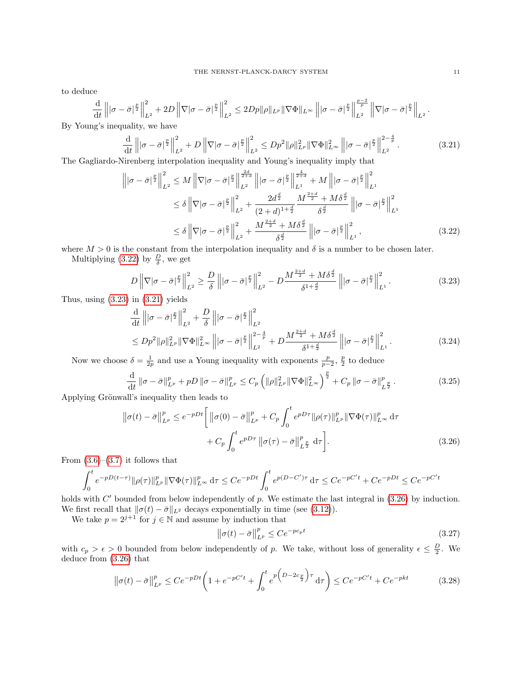to deduce

$$
\frac{\mathrm{d}}{\mathrm{d}t}\left\||\sigma-\bar{\sigma}|^{\frac{p}{2}}\right\|_{L^2}^2+2D\left\|\nabla|\sigma-\bar{\sigma}|^{\frac{p}{2}}\right\|_{L^2}^2\leq 2Dp\|\rho\|_{L^p}\|\nabla\Phi\|_{L^\infty}\left\||\sigma-\bar{\sigma}|^{\frac{p}{2}}\right\|_{L^2}^{\frac{p-2}{p}}\left\|\nabla|\sigma-\bar{\sigma}|^{\frac{p}{2}}\right\|_{L^2}.
$$

By Young's inequality, we have

<span id="page-10-2"></span>
$$
\frac{\mathrm{d}}{\mathrm{d}t} \left\| |\sigma - \bar{\sigma}|^{\frac{p}{2}} \right\|_{L^{2}}^{2} + D \left\| \nabla |\sigma - \bar{\sigma}|^{\frac{p}{2}} \right\|_{L^{2}}^{2} \le D p^{2} \|\rho\|_{L^{p}}^{2} \|\nabla \Phi\|_{L^{\infty}}^{2} \left\| |\sigma - \bar{\sigma}|^{\frac{p}{2}} \right\|_{L^{2}}^{2 - \frac{4}{p}}.
$$
\n(3.21)

The Gagliardo-Nirenberg interpolation inequality and Young's inequality imply that

$$
\left\| |\sigma - \bar{\sigma}|^{\frac{p}{2}} \right\|_{L^{2}}^{2} \leq M \left\| \nabla |\sigma - \bar{\sigma}|^{\frac{p}{2}} \right\|_{L^{2}}^{\frac{2d}{2+d}} \left\| |\sigma - \bar{\sigma}|^{\frac{p}{2}} \right\|_{L^{1}}^{\frac{4}{2+d}} + M \left\| |\sigma - \bar{\sigma}|^{\frac{p}{2}} \right\|_{L^{1}}^{2}
$$
  
\n
$$
\leq \delta \left\| \nabla |\sigma - \bar{\sigma}|^{\frac{p}{2}} \right\|_{L^{2}}^{2} + \frac{2d^{\frac{d}{2}}}{(2+d)^{1+\frac{d}{2}}} \frac{M^{\frac{2+d}{2}} + M\delta^{\frac{d}{2}}}{\delta^{\frac{d}{2}}} \left\| |\sigma - \bar{\sigma}|^{\frac{p}{2}} \right\|_{L^{1}}^{2}
$$
  
\n
$$
\leq \delta \left\| \nabla |\sigma - \bar{\sigma}|^{\frac{p}{2}} \right\|_{L^{2}}^{2} + \frac{M^{\frac{2+d}{2}} + M\delta^{\frac{d}{2}}}{\delta^{\frac{d}{2}}} \left\| |\sigma - \bar{\sigma}|^{\frac{p}{2}} \right\|_{L^{1}}^{2}, \tag{3.22}
$$

where  $M > 0$  is the constant from the interpolation inequality and  $\delta$  is a number to be chosen later.

Multiplying [\(3.22\)](#page-10-0) by  $\frac{D}{\delta}$ , we get

<span id="page-10-1"></span><span id="page-10-0"></span>
$$
D\left\|\nabla|\sigma-\bar{\sigma}\right\|_{L^{2}}^{2}\geq\frac{D}{\delta}\left\||\sigma-\bar{\sigma}\right\|_{L^{2}}^{2}-D\frac{M^{\frac{2+d}{2}}+M\delta^{\frac{d}{2}}}{\delta^{1+\frac{d}{2}}}\left\||\sigma-\bar{\sigma}\right\|_{L^{1}}^{2}.
$$
\n(3.23)

Thus, using  $(3.23)$  in  $(3.21)$  yields

$$
\frac{\mathrm{d}}{\mathrm{d}t} \left\| |\sigma - \bar{\sigma}|^{\frac{p}{2}} \right\|_{L^{2}}^{2} + \frac{D}{\delta} \left\| |\sigma - \bar{\sigma}|^{\frac{p}{2}} \right\|_{L^{2}}^{2} \le D p^{2} \| \rho \|_{L^{p}}^{2} \| \nabla \Phi \|_{L^{\infty}}^{2} \left\| |\sigma - \bar{\sigma}|^{\frac{p}{2}} \right\|_{L^{2}}^{2 - \frac{4}{p}} + D \frac{M^{\frac{2+d}{2}} + M \delta^{\frac{d}{2}}}{\delta^{1 + \frac{d}{2}}} \left\| |\sigma - \bar{\sigma}|^{\frac{p}{2}} \right\|_{L^{1}}^{2}.
$$
\n(3.24)

Now we choose  $\delta = \frac{1}{2p}$  and use a Young inequality with exponents  $\frac{p}{p-2}$ ,  $\frac{p}{2}$  to deduce

$$
\frac{\mathrm{d}}{\mathrm{d}t} \left\| \sigma - \bar{\sigma} \right\|_{L^p}^p + pD \left\| \sigma - \bar{\sigma} \right\|_{L^p}^p \le C_p \left( \| \rho \|_{L^p}^2 \| \nabla \Phi \|_{L^\infty}^2 \right)^{\frac{p}{2}} + C_p \left\| \sigma - \bar{\sigma} \right\|_{L^{\frac{p}{2}}}^p. \tag{3.25}
$$

Applying Grönwall's inequality then leads to

$$
\|\sigma(t) - \bar{\sigma}\|_{L^p}^p \le e^{-pDt} \left[ \|\sigma(0) - \bar{\sigma}\|_{L^p}^p + C_p \int_0^t e^{pD\tau} \|\rho(\tau)\|_{L^p}^p \|\nabla \Phi(\tau)\|_{L^\infty}^p d\tau \right] + C_p \int_0^t e^{pD\tau} \|\sigma(\tau) - \bar{\sigma}\|_{L^p}^p d\tau \right].
$$
\n(3.26)

From  $(3.6)$ – $(3.7)$  it follows that

$$
\int_0^t e^{-pD(t-\tau)} \|\rho(\tau)\|_{L^p}^p \|\nabla \Phi(\tau)\|_{L^\infty}^p \,d\tau \le Ce^{-pDt} \int_0^t e^{p(D-C')\tau} \,d\tau \le Ce^{-pC't} + Ce^{-pDt} \le Ce^{-pC't}
$$

holds with  $C'$  bounded from below independently of  $p$ . We estimate the last integral in  $(3.26)$  by induction. We first recall that  $\|\sigma(t) - \bar{\sigma}\|_{L^2}$  decays exponentially in time (see [\(3.12\)](#page-8-3)).

We take  $p = 2^{j+1}$  for  $j \in \mathbb{N}$  and assume by induction that

<span id="page-10-3"></span>
$$
\left\|\sigma(t) - \bar{\sigma}\right\|_{L^p}^p \le Ce^{-pc_p t} \tag{3.27}
$$

with  $c_p > \epsilon > 0$  bounded from below independently of p. We take, without loss of generality  $\epsilon \leq \frac{D}{2}$ . We deduce from [\(3.26\)](#page-10-3) that

$$
\left\|\sigma(t) - \bar{\sigma}\right\|_{L^p}^p \le Ce^{-pDt} \left(1 + e^{-pC't} + \int_0^t e^{p\left(D - 2c\frac{p}{2}\right)\tau} d\tau\right) \le Ce^{-pC't} + Ce^{-pkt}
$$
(3.28)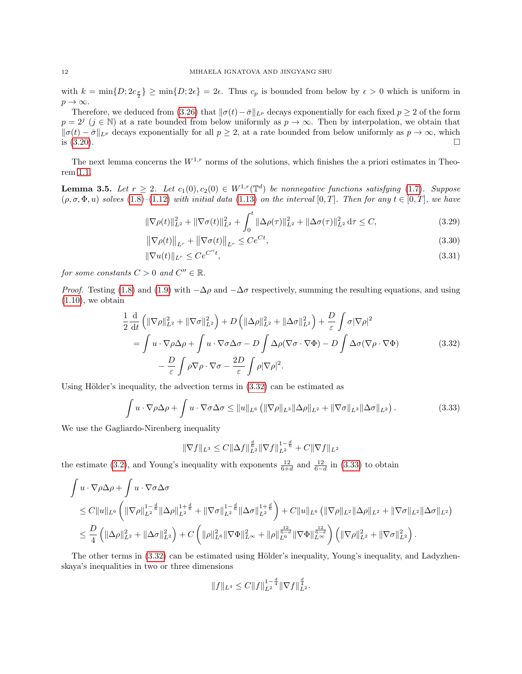with  $k = \min\{D; 2c_{\frac{p}{2}}\} \ge \min\{D; 2\epsilon\} = 2\epsilon$ . Thus  $c_p$  is bounded from below by  $\epsilon > 0$  which is uniform in  $p \to \infty$ .

Therefore, we deduced from [\(3.26\)](#page-10-3) that  $\|\sigma(t)-\bar{\sigma}\|_{L^p}$  decays exponentially for each fixed  $p \ge 2$  of the form  $p = 2^j$   $(j \in \mathbb{N})$  at a rate bounded from below uniformly as  $p \to \infty$ . Then by interpolation, we obtain that  $\|\sigma(t) - \bar{\sigma}\|_{L^p}$  decays exponentially for all  $p \geq 2$ , at a rate bounded from below uniformly as  $p \to \infty$ , which is  $(3.20)$ .

The next lemma concerns the  $W^{1,r}$  norms of the solutions, which finishes the a priori estimates in Theorem [1.1.](#page-2-8)

**Lemma 3.5.** Let  $r \geq 2$ . Let  $c_1(0), c_2(0) \in W^{1,r}(\mathbb{T}^d)$  be nonnegative functions satisfying [\(1.7\)](#page-1-1). Suppose  $(\rho, \sigma, \Phi, u)$  solves [\(1.8\)](#page-2-0)–[\(1.12\)](#page-2-1) with initial data [\(1.13\)](#page-2-4) on the interval [0, T]. Then for any  $t \in [0, T]$ , we have

$$
\|\nabla \rho(t)\|_{L^2}^2 + \|\nabla \sigma(t)\|_{L^2}^2 + \int_0^t \|\Delta \rho(\tau)\|_{L^2}^2 + \|\Delta \sigma(\tau)\|_{L^2}^2 \, d\tau \le C,\tag{3.29}
$$

<span id="page-11-2"></span>
$$
\left\|\nabla \rho(t)\right\|_{L^r} + \left\|\nabla \sigma(t)\right\|_{L^r} \le Ce^{Ct},\tag{3.30}
$$

$$
\|\nabla u(t)\|_{L^r} \le Ce^{C''t},\tag{3.31}
$$

for some constants  $C > 0$  and  $C'' \in \mathbb{R}$ .

*Proof.* Testing [\(1.8\)](#page-2-0) and [\(1.9\)](#page-2-7) with  $-\Delta \rho$  and  $-\Delta \sigma$  respectively, summing the resulting equations, and using  $(1.10)$ , we obtain

$$
\frac{1}{2} \frac{d}{dt} \left( \|\nabla \rho\|_{L^2}^2 + \|\nabla \sigma\|_{L^2}^2 \right) + D \left( \|\Delta \rho\|_{L^2}^2 + \|\Delta \sigma\|_{L^2}^2 \right) + \frac{D}{\varepsilon} \int \sigma |\nabla \rho|^2
$$
\n
$$
= \int u \cdot \nabla \rho \Delta \rho + \int u \cdot \nabla \sigma \Delta \sigma - D \int \Delta \rho (\nabla \sigma \cdot \nabla \Phi) - D \int \Delta \sigma (\nabla \rho \cdot \nabla \Phi)
$$
\n
$$
- \frac{D}{\varepsilon} \int \rho \nabla \rho \cdot \nabla \sigma - \frac{2D}{\varepsilon} \int \rho |\nabla \rho|^2.
$$
\n(3.32)

Using Hölder's inequality, the advection terms in  $(3.32)$  can be estimated as

$$
\int u \cdot \nabla \rho \Delta \rho + \int u \cdot \nabla \sigma \Delta \sigma \leq ||u||_{L^{6}} \left( \|\nabla \rho\|_{L^{3}} \|\Delta \rho\|_{L^{2}} + \|\nabla \sigma\|_{L^{3}} \|\Delta \sigma\|_{L^{2}} \right). \tag{3.33}
$$

We use the Gagliardo-Nirenberg inequality

<span id="page-11-1"></span><span id="page-11-0"></span>
$$
\|\nabla f\|_{L^3} \leq C \|\Delta f\|_{L^2}^{\frac{d}{6}} \|\nabla f\|_{L^2}^{1-\frac{d}{6}} + C \|\nabla f\|_{L^2}
$$

the estimate [\(3.2\)](#page-7-0), and Young's inequality with exponents  $\frac{12}{6+d}$  and  $\frac{12}{6-d}$  in [\(3.33\)](#page-11-1) to obtain

$$
\int u \cdot \nabla \rho \Delta \rho + \int u \cdot \nabla \sigma \Delta \sigma
$$
\n
$$
\leq C \|u\|_{L^6} \left( \|\nabla \rho\|_{L^2}^{1-\frac{d}{6}} \|\Delta \rho\|_{L^2}^{1+\frac{d}{6}} + \|\nabla \sigma\|_{L^2}^{1-\frac{d}{6}} \|\Delta \sigma\|_{L^2}^{1+\frac{d}{6}} \right) + C \|u\|_{L^6} \left( \|\nabla \rho\|_{L^2} \|\Delta \rho\|_{L^2} + \|\nabla \sigma\|_{L^2} \|\Delta \sigma\|_{L^2} \right)
$$
\n
$$
\leq \frac{D}{4} \left( \|\Delta \rho\|_{L^2}^2 + \|\Delta \sigma\|_{L^2}^2 \right) + C \left( \|\rho\|_{L^6}^2 \|\nabla \Phi\|_{L^\infty}^2 + \|\rho\|_{L^6}^{\frac{12}{6-d}} \|\nabla \Phi\|_{L^\infty}^{\frac{12}{6-d}} \right) \left( \|\nabla \rho\|_{L^2}^2 + \|\nabla \sigma\|_{L^2}^2 \right).
$$

The other terms in  $(3.32)$  can be estimated using Hölder's inequality, Young's inequality, and Ladyzhenskaya's inequalities in two or three dimensions

$$
||f||_{L^4} \leq C||f||_{L^2}^{1-\frac{d}{4}}||\nabla f||_{L^2}^{\frac{d}{4}}.
$$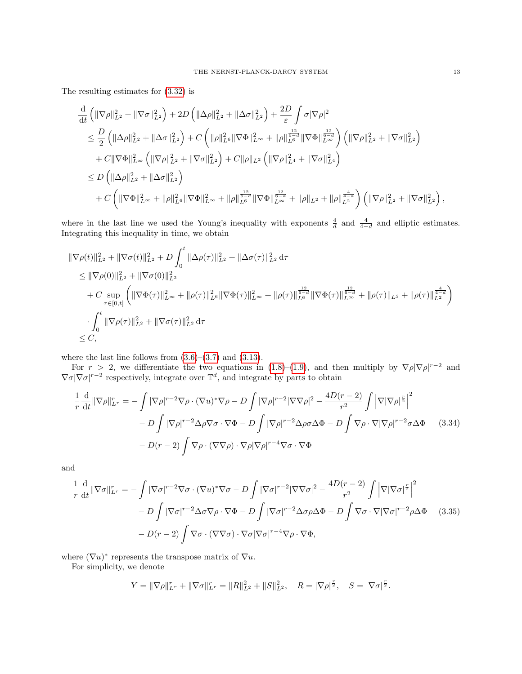The resulting estimates for [\(3.32\)](#page-11-0) is

$$
\begin{split} &\frac{\mathrm{d}}{\mathrm{d}t}\left(\|\nabla\rho\|^{2}_{L^{2}}+\|\nabla\sigma\|^{2}_{L^{2}}\right)+2D\left(\|\Delta\rho\|^{2}_{L^{2}}+\|\Delta\sigma\|^{2}_{L^{2}}\right)+\frac{2D}{\varepsilon}\int\sigma|\nabla\rho|^{2} \\ &\leq \frac{D}{2}\left(\|\Delta\rho\|^{2}_{L^{2}}+\|\Delta\sigma\|^{2}_{L^{2}}\right)+C\left(\|\rho\|^{2}_{L^{6}}\|\nabla\Phi\|^{2}_{L^{\infty}}+\|\rho\|_{L^{6}}^{\frac{12}{6-d}}\|\nabla\Phi\|^{2}_{L^{\infty}}\right)\left(\|\nabla\rho\|^{2}_{L^{2}}+\|\nabla\sigma\|^{2}_{L^{2}}\right) \\ &+C\|\nabla\Phi\|^{2}_{L^{\infty}}\left(\|\nabla\rho\|^{2}_{L^{2}}+\|\nabla\sigma\|^{2}_{L^{2}}\right)+C\|\rho\|_{L^{2}}\left(\|\nabla\rho\|^{2}_{L^{4}}+\|\nabla\sigma\|^{2}_{L^{4}}\right) \\ &\leq D\left(\|\Delta\rho\|^{2}_{L^{2}}+\|\Delta\sigma\|^{2}_{L^{2}}\right) \\ &+C\left(\|\nabla\Phi\|^{2}_{L^{\infty}}+\|\rho\|^{2}_{L^{6}}\|\nabla\Phi\|^{2}_{L^{\infty}}+\|\rho\|_{L^{6}}^{\frac{12}{6-d}}\|\nabla\Phi\|^{2}_{L^{\infty}}+\|\rho\|_{L^{2}}+\|\rho\|_{L^{2}}^{\frac{4}{4-d}}\right)\left(\|\nabla\rho\|^{2}_{L^{2}}+\|\nabla\sigma\|^{2}_{L^{2}}\right), \end{split}
$$

where in the last line we used the Young's inequality with exponents  $\frac{4}{d}$  and  $\frac{4}{4-d}$  and elliptic estimates. Integrating this inequality in time, we obtain

$$
\begin{split}\n\|\nabla \rho(t)\|_{L^{2}}^{2} + \|\nabla \sigma(t)\|_{L^{2}}^{2} + D \int_{0}^{t} \|\Delta \rho(\tau)\|_{L^{2}}^{2} + \|\Delta \sigma(\tau)\|_{L^{2}}^{2} d\tau \\
&\leq \|\nabla \rho(0)\|_{L^{2}}^{2} + \|\nabla \sigma(0)\|_{L^{2}}^{2} \\
&+ C \sup_{\tau \in [0,t]} \left( \|\nabla \Phi(\tau)\|_{L^{\infty}}^{2} + \|\rho(\tau)\|_{L^{6}}^{2} \|\nabla \Phi(\tau)\|_{L^{\infty}}^{2} + \|\rho(\tau)\|_{L^{6}}^{\frac{12}{6-d}} \|\nabla \Phi(\tau)\|_{L^{\infty}}^{\frac{12}{6-d}} + \|\rho(\tau)\|_{L^{2}}^{1} + \|\rho(\tau)\|_{L^{2}}^{\frac{4}{4-d}} \right) \\
&\cdot \int_{0}^{t} \|\nabla \rho(\tau)\|_{L^{2}}^{2} + \|\nabla \sigma(\tau)\|_{L^{2}}^{2} d\tau \\
&\leq C,\n\end{split}
$$

where the last line follows from  $(3.6)-(3.7)$  $(3.6)-(3.7)$  $(3.6)-(3.7)$  and  $(3.13)$ .

For  $r > 2$ , we differentiate the two equations in [\(1.8\)](#page-2-0)–[\(1.9\)](#page-2-7), and then multiply by  $\nabla \rho |\nabla \rho|^{r-2}$  and  $\nabla \sigma |\nabla \sigma|^{r-2}$  respectively, integrate over  $\mathbb{T}^d$ , and integrate by parts to obtain

$$
\frac{1}{r} \frac{d}{dt} \|\nabla \rho\|_{L^r}^r = -\int |\nabla \rho|^{r-2} \nabla \rho \cdot (\nabla u)^* \nabla \rho - D \int |\nabla \rho|^{r-2} |\nabla \nabla \rho|^2 - \frac{4D(r-2)}{r^2} \int |\nabla |\nabla \rho|^{\frac{r}{2}}|^2
$$

$$
- D \int |\nabla \rho|^{r-2} \Delta \rho \nabla \sigma \cdot \nabla \Phi - D \int |\nabla \rho|^{r-2} \Delta \rho \sigma \Delta \Phi - D \int \nabla \rho \cdot \nabla |\nabla \rho|^{r-2} \sigma \Delta \Phi \qquad (3.34)
$$

$$
- D(r-2) \int \nabla \rho \cdot (\nabla \nabla \rho) \cdot \nabla \rho |\nabla \rho|^{r-4} \nabla \sigma \cdot \nabla \Phi
$$

and

$$
\frac{1}{r} \frac{d}{dt} \|\nabla \sigma\|_{L^r}^r = -\int |\nabla \sigma|^{r-2} \nabla \sigma \cdot (\nabla u)^* \nabla \sigma - D \int |\nabla \sigma|^{r-2} |\nabla \nabla \sigma|^2 - \frac{4D(r-2)}{r^2} \int |\nabla |\nabla \sigma|^{\frac{r}{2}} \Big|^2
$$

$$
- D \int |\nabla \sigma|^{r-2} \Delta \sigma \nabla \rho \cdot \nabla \Phi - D \int |\nabla \sigma|^{r-2} \Delta \sigma \rho \Delta \Phi - D \int \nabla \sigma \cdot \nabla |\nabla \sigma|^{r-2} \rho \Delta \Phi \quad (3.35)
$$

$$
- D(r-2) \int \nabla \sigma \cdot (\nabla \nabla \sigma) \cdot \nabla \sigma |\nabla \sigma|^{r-4} \nabla \rho \cdot \nabla \Phi,
$$

where  $(\nabla u)^*$  represents the transpose matrix of  $\nabla u$ .

For simplicity, we denote

<span id="page-12-1"></span><span id="page-12-0"></span>
$$
Y = \|\nabla \rho\|_{L^r}^r + \|\nabla \sigma\|_{L^r}^r = \|R\|_{L^2}^2 + \|S\|_{L^2}^2, \quad R = |\nabla \rho|^{\frac{r}{2}}, \quad S = |\nabla \sigma|^{\frac{r}{2}}.
$$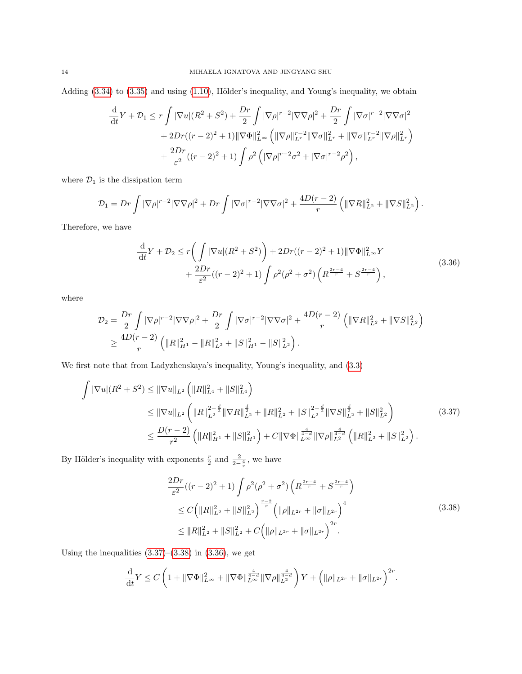Adding  $(3.34)$  to  $(3.35)$  and using  $(1.10)$ , Hölder's inequality, and Young's inequality, we obtain

$$
\frac{d}{dt}Y + \mathcal{D}_1 \le r \int |\nabla u|(R^2 + S^2) + \frac{Dr}{2} \int |\nabla \rho|^{r-2} |\nabla \nabla \rho|^2 + \frac{Dr}{2} \int |\nabla \sigma|^{r-2} |\nabla \nabla \sigma|^2 \n+ 2Dr((r-2)^2 + 1) ||\nabla \Phi||_{L^{\infty}}^2 \left( ||\nabla \rho||_{L^r}^{r-2} ||\nabla \sigma||_{L^r}^2 + ||\nabla \sigma||_{L^r}^{r-2} ||\nabla \rho||_{L^r}^2 \right) \n+ \frac{2Dr}{\varepsilon^2} ((r-2)^2 + 1) \int \rho^2 \left( |\nabla \rho|^{r-2} \sigma^2 + |\nabla \sigma|^{r-2} \rho^2 \right),
$$

where  $\mathcal{D}_1$  is the dissipation term

$$
\mathcal{D}_1 = Dr \int |\nabla \rho|^{r-2} |\nabla \nabla \rho|^2 + Dr \int |\nabla \sigma|^{r-2} |\nabla \nabla \sigma|^2 + \frac{4D(r-2)}{r} \left( \|\nabla R\|_{L^2}^2 + \|\nabla S\|_{L^2}^2 \right).
$$

Therefore, we have

<span id="page-13-2"></span>
$$
\frac{d}{dt}Y + \mathcal{D}_2 \le r \left( \int |\nabla u| (R^2 + S^2) \right) + 2Dr((r - 2)^2 + 1) \|\nabla \Phi\|_{L^\infty}^2 Y \n+ \frac{2Dr}{\varepsilon^2} ((r - 2)^2 + 1) \int \rho^2 (\rho^2 + \sigma^2) \left( R^{\frac{2r - 4}{r}} + S^{\frac{2r - 4}{r}} \right),
$$
\n(3.36)

where

$$
\mathcal{D}_2 = \frac{Dr}{2} \int |\nabla \rho|^{r-2} |\nabla \nabla \rho|^2 + \frac{Dr}{2} \int |\nabla \sigma|^{r-2} |\nabla \nabla \sigma|^2 + \frac{4D(r-2)}{r} \left( ||\nabla R||_{L^2}^2 + ||\nabla S||_{L^2}^2 \right) \geq \frac{4D(r-2)}{r} \left( ||R||_{H^1}^2 - ||R||_{L^2}^2 + ||S||_{H^1}^2 - ||S||_{L^2}^2 \right).
$$

We first note that from Ladyzhenskaya's inequality, Young's inequality, and [\(3.3\)](#page-7-1)

$$
\int |\nabla u|(R^2 + S^2) \leq ||\nabla u||_{L^2} \left( ||R||_{L^4}^2 + ||S||_{L^4}^2 \right)
$$
\n
$$
\leq ||\nabla u||_{L^2} \left( ||R||_{L^2}^{2 - \frac{d}{2}} ||\nabla R||_{L^2}^{\frac{d}{2}} + ||R||_{L^2}^2 + ||S||_{L^2}^{2 - \frac{d}{2}} ||\nabla S||_{L^2}^{\frac{d}{2}} + ||S||_{L^2}^2 \right)
$$
\n
$$
\leq \frac{D(r - 2)}{r^2} \left( ||R||_{H^1}^2 + ||S||_{H^1}^2 \right) + C ||\nabla \Phi||_{L^\infty}^{\frac{4}{4 - d}} ||\nabla \rho||_{L^2}^{\frac{4}{4 - d}} \left( ||R||_{L^2}^2 + ||S||_{L^2}^2 \right).
$$
\n(3.37)

By Hölder's inequality with exponents  $\frac{r}{2}$  and  $\frac{2}{2-\frac{4}{r}}$ , we have

<span id="page-13-1"></span><span id="page-13-0"></span>
$$
\frac{2Dr}{\varepsilon^2}((r-2)^2+1)\int \rho^2(\rho^2+\sigma^2)\left(R^{\frac{2r-4}{r}}+S^{\frac{2r-4}{r}}\right)
$$
  
\n
$$
\leq C\left(\|R\|_{L^2}^2+\|S\|_{L^2}^2\right)^{\frac{r-2}{r}}\left(\|\rho\|_{L^{2r}}+\|\sigma\|_{L^{2r}}\right)^4
$$
  
\n
$$
\leq \|R\|_{L^2}^2+\|S\|_{L^2}^2+C\left(\|\rho\|_{L^{2r}}+\|\sigma\|_{L^{2r}}\right)^{2r}.
$$
\n(3.38)

Using the inequalities  $(3.37)$ – $(3.38)$  in  $(3.36)$ , we get

$$
\frac{\mathrm{d}}{\mathrm{d}t}Y \leq C\left(1 + \|\nabla \Phi\|_{L^{\infty}}^2 + \|\nabla \Phi\|_{L^{\infty}}^{\frac{4}{4-d}} \|\nabla \rho\|_{L^2}^{\frac{4}{4-d}}\right)Y + \left(\|\rho\|_{L^{2r}} + \|\sigma\|_{L^{2r}}\right)^{2r}.
$$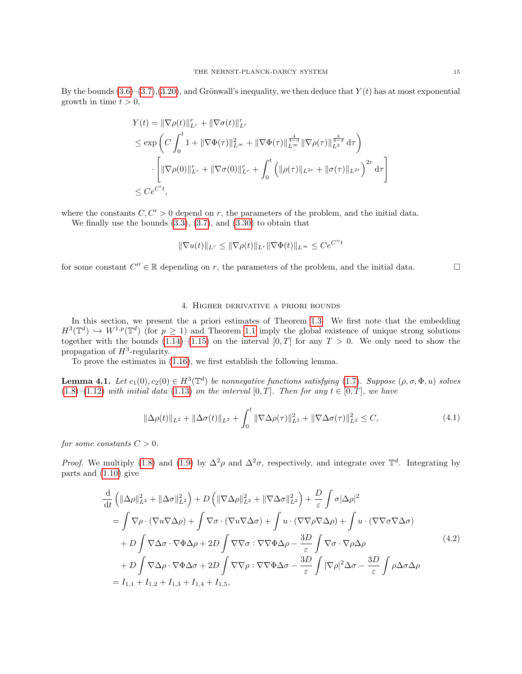By the bounds  $(3.6)-(3.7),(3.20)$  $(3.6)-(3.7),(3.20)$  $(3.6)-(3.7),(3.20)$  $(3.6)-(3.7),(3.20)$  $(3.6)-(3.7),(3.20)$ , and Grönwall's inequality, we then deduce that  $Y(t)$  has at most exponential growth in time  $t > 0$ ,

$$
Y(t) = \|\nabla \rho(t)\|_{L^r}^r + \|\nabla \sigma(t)\|_{L^r}^r
$$
  
\n
$$
\leq \exp\left(C \int_0^t 1 + \|\nabla \Phi(\tau)\|_{L^\infty}^2 + \|\nabla \Phi(\tau)\|_{L^\infty}^{\frac{4}{4-d}} \|\nabla \rho(\tau)\|_{L^2}^{\frac{4}{4-d}} d\tau\right)
$$
  
\n
$$
\cdot \left[\|\nabla \rho(0)\|_{L^r}^r + \|\nabla \sigma(0)\|_{L^r}^r + \int_0^t \left(\|\rho(\tau)\|_{L^{2r}} + \|\sigma(\tau)\|_{L^{2r}}\right)^{2r} d\tau\right]
$$
  
\n
$$
\leq C e^{C't},
$$

where the constants  $C, C' > 0$  depend on r, the parameters of the problem, and the initial data.

We finally use the bounds [\(3.3\)](#page-7-1), [\(3.7\)](#page-7-6), and [\(3.30\)](#page-11-2) to obtain that

$$
\|\nabla u(t)\|_{L^r}\leq \|\nabla \rho(t)\|_{L^r}\|\nabla \Phi(t)\|_{L^\infty}\leq Ce^{C''t}
$$

for some constant  $C'' \in \mathbb{R}$  depending on r, the parameters of the problem, and the initial data.

# <span id="page-14-2"></span>4. Higher derivative a priori bounds

<span id="page-14-0"></span>In this section, we present the a priori estimates of Theorem [1.3.](#page-2-9) We first note that the embedding  $H^3(\mathbb{T}^d) \hookrightarrow W^{1,p}(\mathbb{T}^d)$  (for  $p \geq 1$ ) and Theorem [1.1](#page-2-8) imply the global existence of unique strong solutions together with the bounds  $(1.14)$ – $(1.15)$  on the interval  $[0, T]$  for any  $T > 0$ . We only need to show the propagation of  $H^3$ -regularity.

To prove the estimates in [\(1.16\)](#page-3-0), we first establish the following lemma.

**Lemma 4.1.** Let  $c_1(0), c_2(0) \in H^3(\mathbb{T}^d)$  be nonnegative functions satisfying [\(1.7\)](#page-1-1). Suppose  $(\rho, \sigma, \Phi, u)$  solves [\(1.8\)](#page-2-0)–[\(1.12\)](#page-2-1) with initial data [\(1.13\)](#page-2-4) on the interval [0, T]. Then for any  $t \in [0, T]$ , we have

<span id="page-14-1"></span>
$$
\|\Delta \rho(t)\|_{L^2} + \|\Delta \sigma(t)\|_{L^2} + \int_0^t \|\nabla \Delta \rho(\tau)\|_{L^2}^2 + \|\nabla \Delta \sigma(\tau)\|_{L^2}^2 \le C,
$$
\n(4.1)

for some constants  $C > 0$ .

*Proof.* We multiply [\(1.8\)](#page-2-0) and [\(1.9\)](#page-2-7) by  $\Delta^2 \rho$  and  $\Delta^2 \sigma$ , respectively, and integrate over  $\mathbb{T}^d$ . Integrating by parts and [\(1.10\)](#page-2-2) give

$$
\frac{d}{dt} \left( \|\Delta \rho\|_{L^2}^2 + \|\Delta \sigma\|_{L^2}^2 \right) + D \left( \|\nabla \Delta \rho\|_{L^2}^2 + \|\nabla \Delta \sigma\|_{L^2}^2 \right) + \frac{D}{\varepsilon} \int \sigma |\Delta \rho|^2
$$
\n
$$
= \int \nabla \rho \cdot (\nabla u \nabla \Delta \rho) + \int \nabla \sigma \cdot (\nabla u \nabla \Delta \sigma) + \int u \cdot (\nabla \nabla \rho \nabla \Delta \rho) + \int u \cdot (\nabla \nabla \sigma \nabla \Delta \sigma)
$$
\n
$$
+ D \int \nabla \Delta \sigma \cdot \nabla \Phi \Delta \rho + 2D \int \nabla \nabla \sigma : \nabla \nabla \Phi \Delta \rho - \frac{3D}{\varepsilon} \int \nabla \sigma \cdot \nabla \rho \Delta \rho
$$
\n
$$
+ D \int \nabla \Delta \rho \cdot \nabla \Phi \Delta \sigma + 2D \int \nabla \nabla \rho : \nabla \nabla \Phi \Delta \sigma - \frac{3D}{\varepsilon} \int |\nabla \rho|^2 \Delta \sigma - \frac{3D}{\varepsilon} \int \rho \Delta \sigma \Delta \rho
$$
\n
$$
= I_{1,1} + I_{1,2} + I_{1,3} + I_{1,4} + I_{1,5},
$$
\n(4.2)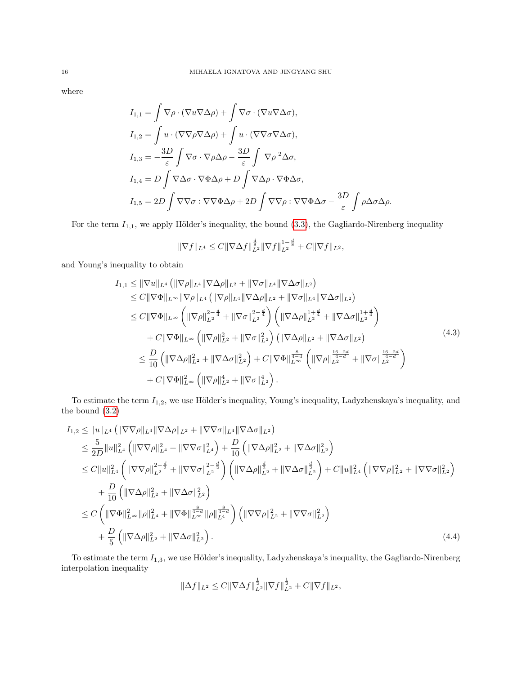where

$$
I_{1,1} = \int \nabla \rho \cdot (\nabla u \nabla \Delta \rho) + \int \nabla \sigma \cdot (\nabla u \nabla \Delta \sigma),
$$
  
\n
$$
I_{1,2} = \int u \cdot (\nabla \nabla \rho \nabla \Delta \rho) + \int u \cdot (\nabla \nabla \sigma \nabla \Delta \sigma),
$$
  
\n
$$
I_{1,3} = -\frac{3D}{\varepsilon} \int \nabla \sigma \cdot \nabla \rho \Delta \rho - \frac{3D}{\varepsilon} \int |\nabla \rho|^2 \Delta \sigma,
$$
  
\n
$$
I_{1,4} = D \int \nabla \Delta \sigma \cdot \nabla \Phi \Delta \rho + D \int \nabla \Delta \rho \cdot \nabla \Phi \Delta \sigma,
$$
  
\n
$$
I_{1,5} = 2D \int \nabla \nabla \sigma : \nabla \nabla \Phi \Delta \rho + 2D \int \nabla \nabla \rho : \nabla \nabla \Phi \Delta \sigma - \frac{3D}{\varepsilon} \int \rho \Delta \sigma \Delta \rho.
$$

For the term  $I_{1,1}$ , we apply Hölder's inequality, the bound [\(3.3\)](#page-7-1), the Gagliardo-Nirenberg inequality

<span id="page-15-0"></span>
$$
\|\nabla f\|_{L^4} \leq C \|\nabla \Delta f\|_{L^2}^{\frac{d}{8}} \|\nabla f\|_{L^2}^{1-\frac{d}{8}} + C \|\nabla f\|_{L^2},
$$

and Young's inequality to obtain

$$
I_{1,1} \leq \|\nabla u\|_{L^{4}} \left( \|\nabla \rho\|_{L^{4}} \|\nabla \Delta \rho\|_{L^{2}} + \|\nabla \sigma\|_{L^{4}} \|\nabla \Delta \sigma\|_{L^{2}} \right)
$$
  
\n
$$
\leq C \|\nabla \Phi\|_{L^{\infty}} \|\nabla \rho\|_{L^{4}} \left( \|\nabla \rho\|_{L^{4}} \|\nabla \Delta \rho\|_{L^{2}} + \|\nabla \sigma\|_{L^{4}} \|\nabla \Delta \sigma\|_{L^{2}} \right)
$$
  
\n
$$
\leq C \|\nabla \Phi\|_{L^{\infty}} \left( \|\nabla \rho\|_{L^{2}}^{2-\frac{d}{4}} + \|\nabla \sigma\|_{L^{2}}^{2-\frac{d}{4}} \right) \left( \|\nabla \Delta \rho\|_{L^{2}}^{1+\frac{d}{4}} + \|\nabla \Delta \sigma\|_{L^{2}}^{1+\frac{d}{4}} \right)
$$
  
\n
$$
+ C \|\nabla \Phi\|_{L^{\infty}} \left( \|\nabla \rho\|_{L^{2}}^{2} + \|\nabla \sigma\|_{L^{2}}^{2} \right) \left( \|\nabla \Delta \rho\|_{L^{2}} + \|\nabla \Delta \sigma\|_{L^{2}} \right)
$$
  
\n
$$
\leq \frac{D}{10} \left( \|\nabla \Delta \rho\|_{L^{2}}^{2} + \|\nabla \Delta \sigma\|_{L^{2}}^{2} \right) + C \|\nabla \Phi\|_{L^{\infty}}^{\frac{8}{4-d}} \left( \|\nabla \rho\|_{L^{2}}^{\frac{16-2d}{4-d}} + \|\nabla \sigma\|_{L^{2}}^{16-2d} \right)
$$
  
\n
$$
+ C \|\nabla \Phi\|_{L^{\infty}}^{2} \left( \|\nabla \rho\|_{L^{2}}^{4} + \|\nabla \sigma\|_{L^{2}}^{4} \right).
$$
  
\n(4.3)

To estimate the term  $I_{1,2}$ , we use Hölder's inequality, Young's inequality, Ladyzhenskaya's inequality, and the bound [\(3.2\)](#page-7-0)

$$
I_{1,2} \leq ||u||_{L^{4}} (||\nabla\nabla\rho||_{L^{4}} ||\nabla\Delta\rho||_{L^{2}} + ||\nabla\nabla\sigma||_{L^{4}} ||\nabla\Delta\sigma||_{L^{2}})
$$
  
\n
$$
\leq \frac{5}{2D} ||u||_{L^{4}}^{2} (||\nabla\nabla\rho||_{L^{4}}^{2} + ||\nabla\nabla\sigma||_{L^{4}}^{2}) + \frac{D}{10} (||\nabla\Delta\rho||_{L^{2}}^{2} + ||\nabla\Delta\sigma||_{L^{2}}^{2})
$$
  
\n
$$
\leq C ||u||_{L^{4}}^{2} (||\nabla\nabla\rho||_{L^{2}}^{2-\frac{d}{2}} + ||\nabla\nabla\sigma||_{L^{2}}^{2-\frac{d}{2}}) (||\nabla\Delta\rho||_{L^{2}}^{\frac{d}{2}} + ||\nabla\Delta\sigma||_{L^{2}}^{\frac{d}{2}}) + C ||u||_{L^{4}}^{2} (||\nabla\nabla\rho||_{L^{2}}^{2} + ||\nabla\nabla\sigma||_{L^{2}}^{2})
$$
  
\n
$$
+ \frac{D}{10} (||\nabla\Delta\rho||_{L^{2}}^{2} + ||\nabla\Delta\sigma||_{L^{2}}^{2})
$$
  
\n
$$
\leq C (||\nabla\Phi||_{L^{\infty}}^{2} ||\rho||_{L^{4}}^{2} + ||\nabla\Phi||_{L^{\infty}}^{\frac{8}{1-\alpha}} ||\rho||_{L^{4}}^{\frac{8}{4-\alpha}}) (||\nabla\nabla\rho||_{L^{2}}^{2} + ||\nabla\nabla\sigma||_{L^{2}}^{2})
$$
  
\n
$$
+ \frac{D}{5} (||\nabla\Delta\rho||_{L^{2}}^{2} + ||\nabla\Delta\sigma||_{L^{2}}^{2}). \qquad (4.4)
$$

To estimate the term  $I_{1,3}$ , we use Hölder's inequality, Ladyzhenskaya's inequality, the Gagliardo-Nirenberg interpolation inequality

$$
\|\Delta f\|_{L^2}\leq C\|\nabla\Delta f\|_{L^2}^{\frac{1}{2}}\|\nabla f\|_{L^2}^{\frac{1}{2}}+C\|\nabla f\|_{L^2},
$$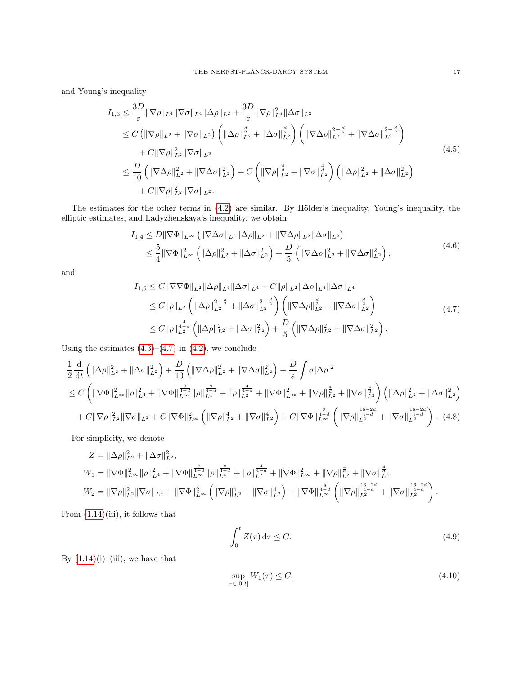and Young's inequality

$$
I_{1,3} \leq \frac{3D}{\varepsilon} \|\nabla \rho\|_{L^{4}} \|\nabla \sigma\|_{L^{4}} \|\Delta \rho\|_{L^{2}} + \frac{3D}{\varepsilon} \|\nabla \rho\|_{L^{4}}^{2} \|\Delta \sigma\|_{L^{2}} \n\leq C \left( \|\nabla \rho\|_{L^{2}} + \|\nabla \sigma\|_{L^{2}} \right) \left( \|\Delta \rho\|_{L^{2}}^{\frac{d}{2}} + \|\Delta \sigma\|_{L^{2}}^{\frac{d}{2}} \right) \left( \|\nabla \Delta \rho\|_{L^{2}}^{2 - \frac{d}{2}} + \|\nabla \Delta \sigma\|_{L^{2}}^{2 - \frac{d}{2}} \right) \n+ C \|\nabla \rho\|_{L^{2}}^{2} \|\nabla \sigma\|_{L^{2}} \n\leq \frac{D}{10} \left( \|\nabla \Delta \rho\|_{L^{2}}^{2} + \|\nabla \Delta \sigma\|_{L^{2}}^{2} \right) + C \left( \|\nabla \rho\|_{L^{2}}^{\frac{4}{d}} + \|\nabla \sigma\|_{L^{2}}^{\frac{4}{d}} \right) \left( \|\Delta \rho\|_{L^{2}}^{2} + \|\Delta \sigma\|_{L^{2}}^{2} \right) \n+ C \|\nabla \rho\|_{L^{2}}^{2} \|\nabla \sigma\|_{L^{2}}.
$$
\n(4.5)

The estimates for the other terms in [\(4.2\)](#page-14-1) are similar. By Hölder's inequality, Young's inequality, the elliptic estimates, and Ladyzhenskaya's inequality, we obtain

$$
I_{1,4} \leq D \|\nabla \Phi\|_{L^{\infty}} \left( \|\nabla \Delta \sigma\|_{L^{2}} \|\Delta \rho\|_{L^{2}} + \|\nabla \Delta \rho\|_{L^{2}} \|\Delta \sigma\|_{L^{2}} \right)
$$
  

$$
\leq \frac{5}{4} \|\nabla \Phi\|_{L^{\infty}}^{2} \left( \|\Delta \rho\|_{L^{2}}^{2} + \|\Delta \sigma\|_{L^{2}}^{2} \right) + \frac{D}{5} \left( \|\nabla \Delta \rho\|_{L^{2}}^{2} + \|\nabla \Delta \sigma\|_{L^{2}}^{2} \right),
$$
\n(4.6)

and

<span id="page-16-0"></span>
$$
I_{1,5} \leq C \|\nabla \nabla \Phi\|_{L^{2}} \|\Delta \rho\|_{L^{4}} \|\Delta \sigma\|_{L^{4}} + C \|\rho\|_{L^{2}} \|\Delta \rho\|_{L^{4}} \|\Delta \sigma\|_{L^{4}} \n\leq C \|\rho\|_{L^{2}} \left( \|\Delta \rho\|_{L^{2}}^{2-\frac{d}{2}} + \|\Delta \sigma\|_{L^{2}}^{2-\frac{d}{2}} \right) \left( \|\nabla \Delta \rho\|_{L^{2}}^{\frac{d}{2}} + \|\nabla \Delta \sigma\|_{L^{2}}^{\frac{d}{2}} \right) \n\leq C \|\rho\|_{L^{2}}^{\frac{4}{4-d}} \left( \|\Delta \rho\|_{L^{2}}^{2} + \|\Delta \sigma\|_{L^{2}}^{2} \right) + \frac{D}{5} \left( \|\nabla \Delta \rho\|_{L^{2}}^{2} + \|\nabla \Delta \sigma\|_{L^{2}}^{2} \right).
$$
\n(4.7)

Using the estimates  $(4.3)$ – $(4.7)$  in  $(4.2)$ , we conclude

$$
\frac{1}{2} \frac{d}{dt} \left( \|\Delta \rho\|_{L^2}^2 + \|\Delta \sigma\|_{L^2}^2 \right) + \frac{D}{10} \left( \|\nabla \Delta \rho\|_{L^2}^2 + \|\nabla \Delta \sigma\|_{L^2}^2 \right) + \frac{D}{\varepsilon} \int \sigma |\Delta \rho|^2
$$
\n
$$
\leq C \left( \|\nabla \Phi\|_{L^\infty}^2 \|\rho\|_{L^4}^2 + \|\nabla \Phi\|_{L^\infty}^{\frac{8}{4-d}} \|\rho\|_{L^4}^{\frac{4}{4-d}} + \|\rho\|_{L^2}^{\frac{4}{4-d}} + \|\nabla \Phi\|_{L^\infty}^2 + \|\nabla \rho\|_{L^2}^{\frac{4}{d}} + \|\nabla \sigma\|_{L^2}^{\frac{4}{d}} \right) \left( \|\Delta \rho\|_{L^2}^2 + \|\Delta \sigma\|_{L^2}^2 \right)
$$
\n
$$
+ C \|\nabla \rho\|_{L^2}^2 \|\nabla \sigma\|_{L^2} + C \|\nabla \Phi\|_{L^\infty}^2 \left( \|\nabla \rho\|_{L^2}^4 + \|\nabla \sigma\|_{L^2}^4 \right) + C \|\nabla \Phi\|_{L^\infty}^{\frac{8}{4-d}} \left( \|\nabla \rho\|_{L^2}^{\frac{16-2d}{4-d}} + \|\nabla \sigma\|_{L^2}^{\frac{16-2d}{4-d}} \right). \tag{4.8}
$$

For simplicity, we denote

$$
Z = \|\Delta\rho\|_{L^2}^2 + \|\Delta\sigma\|_{L^2}^2,
$$
  
\n
$$
W_1 = \|\nabla\Phi\|_{L^\infty}^2 \|\rho\|_{L^4}^2 + \|\nabla\Phi\|_{L^\infty}^{\frac{8}{4-d}} \|\rho\|_{L^4}^{\frac{8}{4-d}} + \|\rho\|_{L^2}^{\frac{4}{4-d}} + \|\nabla\Phi\|_{L^\infty}^2 + \|\nabla\rho\|_{L^2}^{\frac{4}{d}} + \|\nabla\sigma\|_{L^2}^{\frac{4}{d}}.
$$
  
\n
$$
W_2 = \|\nabla\rho\|_{L^2}^2 \|\nabla\sigma\|_{L^2} + \|\nabla\Phi\|_{L^\infty}^2 \left(\|\nabla\rho\|_{L^2}^4 + \|\nabla\sigma\|_{L^2}^4\right) + \|\nabla\Phi\|_{L^\infty}^{\frac{8}{4-d}} \left(\|\nabla\rho\|_{L^2}^{\frac{16-2d}{4-d}} + \|\nabla\sigma\|_{L^2}^{\frac{16-2d}{4-d}}\right).
$$

From  $(1.14)$ (iii), it follows that

<span id="page-16-2"></span><span id="page-16-1"></span>
$$
\int_0^t Z(\tau) \, \mathrm{d}\tau \le C. \tag{4.9}
$$

By  $(1.14)(i)$  $(1.14)(i)$ –(iii), we have that

$$
\sup_{\tau \in [0,t]} W_1(\tau) \le C,\tag{4.10}
$$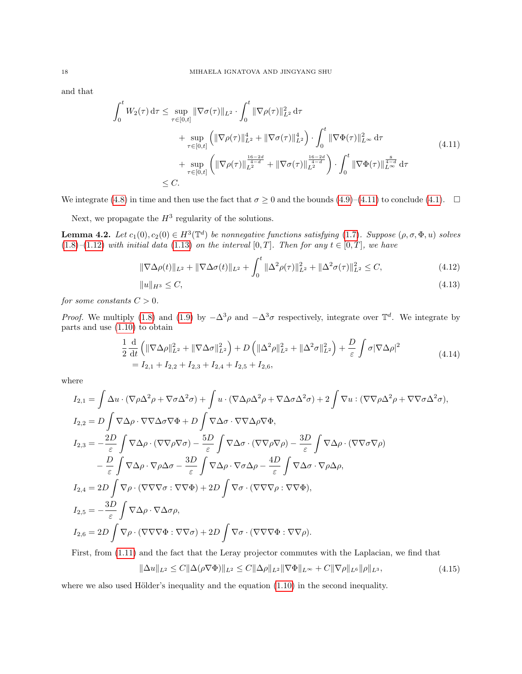and that

$$
\int_{0}^{t} W_{2}(\tau) d\tau \leq \sup_{\tau \in [0,t]} \|\nabla \sigma(\tau)\|_{L^{2}} \cdot \int_{0}^{t} \|\nabla \rho(\tau)\|_{L^{2}}^{2} d\tau \n+ \sup_{\tau \in [0,t]} \left( \|\nabla \rho(\tau)\|_{L^{2}}^{4} + \|\nabla \sigma(\tau)\|_{L^{2}}^{4} \right) \cdot \int_{0}^{t} \|\nabla \Phi(\tau)\|_{L^{\infty}}^{2} d\tau \n+ \sup_{\tau \in [0,t]} \left( \|\nabla \rho(\tau)\|_{L^{2}}^{\frac{16-2d}{4-d}} + \|\nabla \sigma(\tau)\|_{L^{2}}^{\frac{16-2d}{4-d}} \right) \cdot \int_{0}^{t} \|\nabla \Phi(\tau)\|_{L^{\infty}}^{\frac{8}{4-d}} d\tau \n\leq C.
$$
\n(4.11)

We integrate [\(4.8\)](#page-16-1) in time and then use the fact that  $\sigma \ge 0$  and the bounds [\(4.9\)](#page-16-2)–[\(4.11\)](#page-17-0) to conclude [\(4.1\)](#page-14-2).  $\Box$ 

Next, we propagate the  $H^3$  regularity of the solutions.

**Lemma 4.2.** Let  $c_1(0), c_2(0) \in H^3(\mathbb{T}^d)$  be nonnegative functions satisfying [\(1.7\)](#page-1-1). Suppose  $(\rho, \sigma, \Phi, u)$  solves [\(1.8\)](#page-2-0)–[\(1.12\)](#page-2-1) with initial data [\(1.13\)](#page-2-4) on the interval [0, T]. Then for any  $t \in [0, T]$ , we have

<span id="page-17-0"></span>
$$
\|\nabla\Delta\rho(t)\|_{L^2} + \|\nabla\Delta\sigma(t)\|_{L^2} + \int_0^t \|\Delta^2\rho(\tau)\|_{L^2}^2 + \|\Delta^2\sigma(\tau)\|_{L^2}^2 \le C,
$$
\n(4.12)

<span id="page-17-4"></span><span id="page-17-3"></span><span id="page-17-2"></span>
$$
||u||_{H^3} \le C,\t\t(4.13)
$$

for some constants  $C > 0$ .

*Proof.* We multiply [\(1.8\)](#page-2-0) and [\(1.9\)](#page-2-7) by  $-\Delta^3 \rho$  and  $-\Delta^3 \sigma$  respectively, integrate over  $\mathbb{T}^d$ . We integrate by parts and use [\(1.10\)](#page-2-2) to obtain

$$
\frac{1}{2} \frac{d}{dt} \left( \|\nabla \Delta \rho\|_{L^2}^2 + \|\nabla \Delta \sigma\|_{L^2}^2 \right) + D \left( \|\Delta^2 \rho\|_{L^2}^2 + \|\Delta^2 \sigma\|_{L^2}^2 \right) + \frac{D}{\varepsilon} \int \sigma |\nabla \Delta \rho|^2
$$
\n
$$
= I_{2,1} + I_{2,2} + I_{2,3} + I_{2,4} + I_{2,5} + I_{2,6},
$$
\n(4.14)

where

$$
I_{2,1} = \int \Delta u \cdot (\nabla \rho \Delta^2 \rho + \nabla \sigma \Delta^2 \sigma) + \int u \cdot (\nabla \Delta \rho \Delta^2 \rho + \nabla \Delta \sigma \Delta^2 \sigma) + 2 \int \nabla u \cdot (\nabla \nabla \rho \Delta^2 \rho + \nabla \nabla \sigma \Delta^2 \sigma),
$$
  
\n
$$
I_{2,2} = D \int \nabla \Delta \rho \cdot \nabla \nabla \Delta \sigma \nabla \Phi + D \int \nabla \Delta \sigma \cdot \nabla \nabla \Delta \rho \nabla \Phi,
$$
  
\n
$$
I_{2,3} = -\frac{2D}{\varepsilon} \int \nabla \Delta \rho \cdot (\nabla \nabla \rho \nabla \sigma) - \frac{5D}{\varepsilon} \int \nabla \Delta \sigma \cdot (\nabla \nabla \rho \nabla \rho) - \frac{3D}{\varepsilon} \int \nabla \Delta \rho \cdot (\nabla \nabla \sigma \nabla \rho)
$$
  
\n
$$
- \frac{D}{\varepsilon} \int \nabla \Delta \rho \cdot \nabla \rho \Delta \sigma - \frac{3D}{\varepsilon} \int \nabla \Delta \rho \cdot \nabla \sigma \Delta \rho - \frac{4D}{\varepsilon} \int \nabla \Delta \sigma \cdot \nabla \rho \Delta \rho,
$$
  
\n
$$
I_{2,4} = 2D \int \nabla \rho \cdot (\nabla \nabla \nabla \sigma : \nabla \nabla \Phi) + 2D \int \nabla \sigma \cdot (\nabla \nabla \nabla \rho : \nabla \nabla \Phi),
$$
  
\n
$$
I_{2,5} = -\frac{3D}{\varepsilon} \int \nabla \Delta \rho \cdot \nabla \Delta \sigma \rho,
$$
  
\n
$$
I_{2,6} = 2D \int \nabla \rho \cdot (\nabla \nabla \nabla \Phi : \nabla \nabla \sigma) + 2D \int \nabla \sigma \cdot (\nabla \nabla \nabla \Phi : \nabla \nabla \rho).
$$

First, from [\(1.11\)](#page-2-3) and the fact that the Leray projector commutes with the Laplacian, we find that

<span id="page-17-1"></span>
$$
\|\Delta u\|_{L^2} \le C \|\Delta(\rho \nabla \Phi)\|_{L^2} \le C \|\Delta \rho\|_{L^2} \|\nabla \Phi\|_{L^\infty} + C \|\nabla \rho\|_{L^6} \|\rho\|_{L^3},\tag{4.15}
$$

where we also used Hölder's inequality and the equation  $(1.10)$  in the second inequality.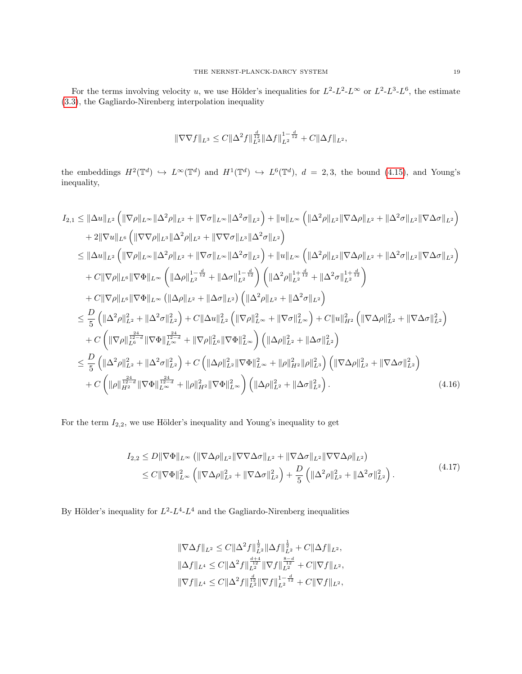For the terms involving velocity u, we use Hölder's inequalities for  $L^2-L^2-L^\infty$  or  $L^2-L^3-L^6$ , the estimate [\(3.3\)](#page-7-1), the Gagliardo-Nirenberg interpolation inequality

$$
\|\nabla\nabla f\|_{L^3}\leq C\|\Delta^2 f\|_{L^2}^{\frac{d}{12}}\|\Delta f\|_{L^2}^{1-\frac{d}{12}}+C\|\Delta f\|_{L^2},
$$

the embeddings  $H^2(\mathbb{T}^d) \hookrightarrow L^{\infty}(\mathbb{T}^d)$  and  $H^1(\mathbb{T}^d) \hookrightarrow L^6(\mathbb{T}^d)$ ,  $d = 2,3$ , the bound [\(4.15\)](#page-17-1), and Young's inequality,

$$
I_{2,1} \leq \|\Delta u\|_{L^{2}} \left( \|\nabla \rho\|_{L^{\infty}} \|\Delta^{2} \rho\|_{L^{2}} + \|\nabla \sigma\|_{L^{\infty}} \|\Delta^{2} \sigma\|_{L^{2}} \right) + \|u\|_{L^{\infty}} \left( \|\Delta^{2} \rho\|_{L^{2}} \|\nabla \Delta \rho\|_{L^{2}} + \|\Delta^{2} \sigma\|_{L^{2}} \|\nabla \Delta \sigma\|_{L^{2}} \right) + 2\|\nabla u\|_{L^{6}} \left( \|\nabla \nabla \rho\|_{L^{8}} \|\Delta^{2} \rho\|_{L^{2}} + \|\nabla \nabla \sigma\|_{L^{8}} \|\Delta^{2} \sigma\|_{L^{2}} \right) \leq \|\Delta u\|_{L^{2}} \left( \|\nabla \rho\|_{L^{\infty}} \|\Delta^{2} \rho\|_{L^{2}} + \|\nabla \sigma\|_{L^{\infty}} \|\Delta^{2} \sigma\|_{L^{2}} \right) + \|u\|_{L^{\infty}} \left( \|\Delta^{2} \rho\|_{L^{2}} \|\nabla \Delta \rho\|_{L^{2}} + \|\Delta^{2} \sigma\|_{L^{2}} \|\nabla \Delta \sigma\|_{L^{2}} \right) + C\|\nabla \rho\|_{L^{6}} \|\nabla \Phi\|_{L^{\infty}} \left( \|\Delta \rho\|_{L^{2}}^{\frac{1}{12}} + \|\Delta \sigma\|_{L^{2}}^{\frac{1}{12}} \right) \left( \|\Delta^{2} \rho\|_{L^{2}}^{\frac{1}{12}} + \|\Delta^{2} \sigma\|_{L^{2}}^{\frac{1}{12}} \right) + C\|\nabla \rho\|_{L^{6}} \|\nabla \Phi\|_{L^{\infty}} \left( \|\Delta \rho\|_{L^{2}} + \|\Delta \sigma\|_{L^{2}} \right) \left( \|\Delta^{2} \rho\|_{L^{2}} + \|\Delta^{2} \sigma\|_{L^{2}} \right) + C\|\nabla \rho\|_{L^{6}} \|\nabla \Phi\|_{L^{\infty}} \left( \|\Delta \rho\|_{L^{2}} + \|\Delta \sigma\|_{L^{2}} \right) \left( \|\Delta^{2} \rho\|_{L^{2}} + \|\Delta^{2} \sigma
$$

For the term  $I_{2,2}$ , we use Hölder's inequality and Young's inequality to get

$$
I_{2,2} \leq D \|\nabla \Phi\|_{L^{\infty}} \left( \|\nabla \Delta \rho\|_{L^{2}} \|\nabla \nabla \Delta \sigma\|_{L^{2}} + \|\nabla \Delta \sigma\|_{L^{2}} \|\nabla \nabla \Delta \rho\|_{L^{2}} \right)
$$
  
\n
$$
\leq C \|\nabla \Phi\|_{L^{\infty}}^{2} \left( \|\nabla \Delta \rho\|_{L^{2}}^{2} + \|\nabla \Delta \sigma\|_{L^{2}}^{2} \right) + \frac{D}{5} \left( \|\Delta^{2} \rho\|_{L^{2}}^{2} + \|\Delta^{2} \sigma\|_{L^{2}}^{2} \right).
$$
\n(4.17)

By Hölder's inequality for  $L^2-L^4-L^4$  and the Gagliardo-Nirenberg inequalities

<span id="page-18-0"></span>
$$
\begin{aligned}\n\|\nabla \Delta f\|_{L^2} &\leq C \|\Delta^2 f\|_{L^2}^{\frac{1}{2}} \|\Delta f\|_{L^2}^{\frac{1}{2}} + C \|\Delta f\|_{L^2}, \\
\|\Delta f\|_{L^4} &\leq C \|\Delta^2 f\|_{L^2}^{\frac{d+4}{12}} \|\nabla f\|_{L^2}^{\frac{8-d}{12}} + C \|\nabla f\|_{L^2}, \\
\|\nabla f\|_{L^4} &\leq C \|\Delta^2 f\|_{L^2}^{\frac{d}{12}} \|\nabla f\|_{L^2}^{1-\frac{d}{12}} + C \|\nabla f\|_{L^2},\n\end{aligned}
$$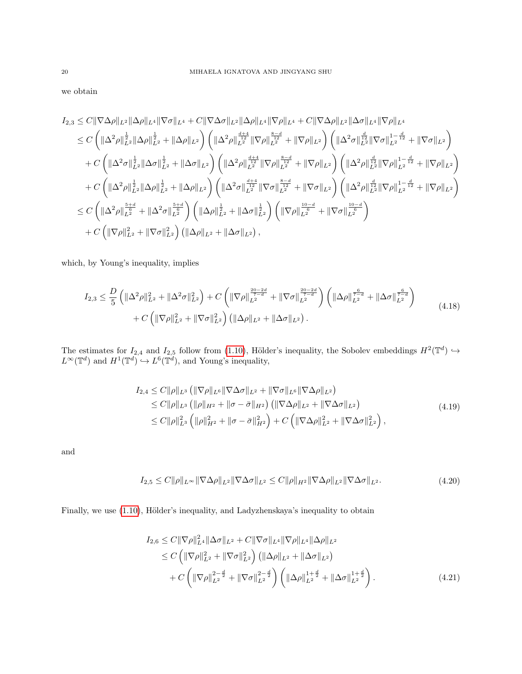we obtain

$$
I_{2,3} \leq C \|\nabla \Delta \rho\|_{L^{2}} \|\Delta \rho\|_{L^{4}} \|\nabla \sigma\|_{L^{4}} + C \|\nabla \Delta \sigma\|_{L^{2}} \|\Delta \rho\|_{L^{4}} \|\nabla \rho\|_{L^{4}} + C \|\nabla \Delta \rho\|_{L^{2}} \|\Delta \sigma\|_{L^{4}} \|\nabla \rho\|_{L^{4}} \n\leq C \left( \|\Delta^{2} \rho\|_{L^{2}}^{\frac{1}{2}} \|\Delta \rho\|_{L^{2}}^{\frac{1}{2}} + \|\Delta \rho\|_{L^{2}} \right) \left( \|\Delta^{2} \rho\|_{L^{2}}^{\frac{d+4}{12}} \|\nabla \rho\|_{L^{2}}^{\frac{8-d}{12}} + \|\nabla \rho\|_{L^{2}} \right) \left( \|\Delta^{2} \sigma\|_{L^{2}}^{\frac{1}{2}} \|\nabla \sigma\|_{L^{2}}^{\frac{1}{2}} + \|\nabla \sigma\|_{L^{2}} \right) \n+ C \left( \|\Delta^{2} \sigma\|_{L^{2}}^{\frac{1}{2}} \|\Delta \sigma\|_{L^{2}}^{\frac{1}{2}} + \|\Delta \sigma\|_{L^{2}} \right) \left( \|\Delta^{2} \rho\|_{L^{2}}^{\frac{d+4}{12}} \|\nabla \rho\|_{L^{2}}^{\frac{8-d}{12}} + \|\nabla \rho\|_{L^{2}} \right) \left( \|\Delta^{2} \rho\|_{L^{2}}^{\frac{d}{2}} \|\nabla \rho\|_{L^{2}}^{\frac{d}{2}} + \|\nabla \rho\|_{L^{2}} \right) \n+ C \left( \|\Delta^{2} \rho\|_{L^{2}}^{\frac{1}{2}} \|\Delta \rho\|_{L^{2}}^{\frac{1}{2}} + \|\Delta \rho\|_{L^{2}} \right) \left( \|\Delta^{2} \sigma\|_{L^{2}}^{\frac{d+4}{12}} \|\nabla \sigma\|_{L^{2}}^{\frac{8-d}{12}} + \|\nabla \sigma\|_{L^{2}} \right) \left( \|\Delta^{2} \rho\|_{L^{2}}^{\frac{d}{2}} \|\nabla \rho\|_{L^{2}}^{\frac{d}{2}} + \|\nabla \rho\|_{L^{2}} \right)
$$

which, by Young's inequality, implies

$$
I_{2,3} \leq \frac{D}{5} \left( \|\Delta^2 \rho\|_{L^2}^2 + \|\Delta^2 \sigma\|_{L^2}^2 \right) + C \left( \|\nabla \rho\|_{L^2}^{\frac{20-2d}{7-d}} + \|\nabla \sigma\|_{L^2}^{\frac{20-2d}{7-d}} \right) \left( \|\Delta \rho\|_{L^2}^{\frac{6}{7-d}} + \|\Delta \sigma\|_{L^2}^{\frac{6}{7-d}} \right) \right)
$$
  
+  $C \left( \|\nabla \rho\|_{L^2}^2 + \|\nabla \sigma\|_{L^2}^2 \right) \left( \|\Delta \rho\|_{L^2} + \|\Delta \sigma\|_{L^2} \right).$  (4.18)

The estimates for  $I_{2,4}$  and  $I_{2,5}$  follow from [\(1.10\)](#page-2-2), Hölder's inequality, the Sobolev embeddings  $H^2(\mathbb{T}^d) \hookrightarrow$  $L^{\infty}(\mathbb{T}^d)$  and  $H^1(\mathbb{T}^d) \hookrightarrow L^6(\mathbb{T}^d)$ , and Young's inequality,

$$
I_{2,4} \leq C \|\rho\|_{L^3} \left( \|\nabla \rho\|_{L^6} \|\nabla \Delta \sigma\|_{L^2} + \|\nabla \sigma\|_{L^6} \|\nabla \Delta \rho\|_{L^2} \right) \n\leq C \|\rho\|_{L^3} \left( \|\rho\|_{H^2} + \|\sigma - \bar{\sigma}\|_{H^2} \right) \left( \|\nabla \Delta \rho\|_{L^2} + \|\nabla \Delta \sigma\|_{L^2} \right) \n\leq C \|\rho\|_{L^3}^2 \left( \|\rho\|_{H^2}^2 + \|\sigma - \bar{\sigma}\|_{H^2}^2 \right) + C \left( \|\nabla \Delta \rho\|_{L^2}^2 + \|\nabla \Delta \sigma\|_{L^2}^2 \right),
$$
\n(4.19)

and

$$
I_{2,5} \le C \|\rho\|_{L^{\infty}} \|\nabla \Delta \rho\|_{L^2} \|\nabla \Delta \sigma\|_{L^2} \le C \|\rho\|_{H^2} \|\nabla \Delta \rho\|_{L^2} \|\nabla \Delta \sigma\|_{L^2}.
$$
\n(4.20)

Finally, we use [\(1.10\)](#page-2-2), Hölder's inequality, and Ladyzhenskaya's inequality to obtain

<span id="page-19-0"></span>
$$
I_{2,6} \leq C \|\nabla \rho\|_{L^{4}}^{2} \|\Delta \sigma\|_{L^{2}} + C \|\nabla \sigma\|_{L^{4}} \|\nabla \rho\|_{L^{4}} \|\Delta \rho\|_{L^{2}} \n\leq C \left( \|\nabla \rho\|_{L^{2}}^{2} + \|\nabla \sigma\|_{L^{2}}^{2} \right) \left( \|\Delta \rho\|_{L^{2}} + \|\Delta \sigma\|_{L^{2}} \right) \n+ C \left( \|\nabla \rho\|_{L^{2}}^{2 - \frac{d}{2}} + \|\nabla \sigma\|_{L^{2}}^{2 - \frac{d}{2}} \right) \left( \|\Delta \rho\|_{L^{2}}^{1 + \frac{d}{2}} + \|\Delta \sigma\|_{L^{2}}^{1 + \frac{d}{2}} \right).
$$
\n(4.21)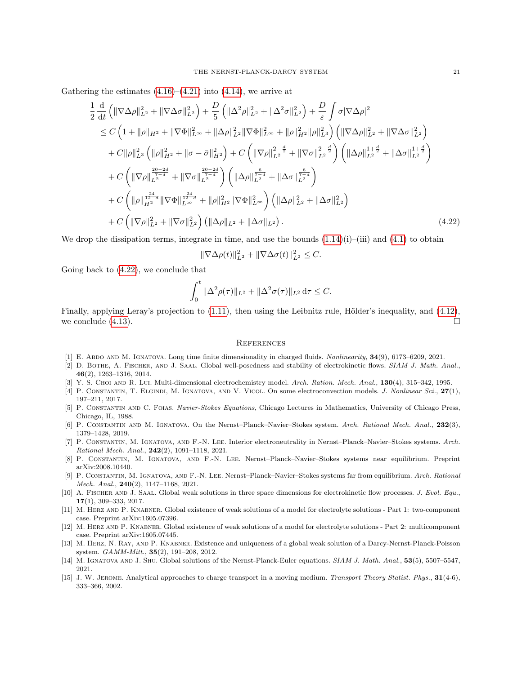Gathering the estimates  $(4.16)$ – $(4.21)$  into  $(4.14)$ , we arrive at

$$
\frac{1}{2} \frac{d}{dt} \left( \|\nabla \Delta \rho\|_{L^{2}}^{2} + \|\nabla \Delta \sigma\|_{L^{2}}^{2} \right) + \frac{D}{5} \left( \|\Delta^{2} \rho\|_{L^{2}}^{2} + \|\Delta^{2} \sigma\|_{L^{2}}^{2} \right) + \frac{D}{\varepsilon} \int \sigma |\nabla \Delta \rho|^{2} \n\leq C \left( 1 + \|\rho\|_{H^{2}} + \|\nabla \Phi\|_{L^{\infty}}^{2} + \|\Delta \rho\|_{L^{2}}^{2} \|\nabla \Phi\|_{L^{\infty}}^{2} + \|\rho\|_{H^{2}}^{2} \|\rho\|_{L^{3}}^{2} \right) \left( \|\nabla \Delta \rho\|_{L^{2}}^{2} + \|\nabla \Delta \sigma\|_{L^{2}}^{2} \right) \n+ C \|\rho\|_{L^{3}}^{2} \left( \|\rho\|_{H^{2}}^{2} + \|\sigma - \bar{\sigma}\|_{H^{2}}^{2} \right) + C \left( \|\nabla \rho\|_{L^{2}}^{2 - \frac{d}{2}} + \|\nabla \sigma\|_{L^{2}}^{2 - \frac{d}{2}} \right) \left( \|\Delta \rho\|_{L^{2}}^{1 + \frac{d}{2}} + \|\Delta \sigma\|_{L^{2}}^{1 + \frac{d}{2}} \right) \n+ C \left( \|\nabla \rho\|_{L^{2}}^{\frac{20 - 2d}{7 - d}} + \|\nabla \sigma\|_{L^{2}}^{\frac{20 - 2d}{7 - d}} \right) \left( \|\Delta \rho\|_{L^{2}}^{\frac{6}{7 - d}} + \|\Delta \sigma\|_{L^{2}}^{\frac{6}{7 - d}} \right) \n+ C \left( \|\rho\|_{H^{2}}^{\frac{24}{12 - d}} \|\nabla \Phi\|_{L^{\infty}}^{\frac{24}{7 - d}} + \|\rho\|_{H^{2}}^{2} \|\nabla \Phi\|_{L^{\infty}}^{2} \right) \left( \|\Delta \rho\|_{L^{2}}^{2} + \|\Delta \sigma\|_{L^{2}}^{2} \right) \n+ C \left( \|\nabla \rho\|_{L^{2}}^{2} + \|\nabla \sigma\|_{L^{2}}^{2} \right) \left( \
$$

We drop the dissipation terms, integrate in time, and use the bounds  $(1.14)(i)$  $(1.14)(i)$ –(iii) and  $(4.1)$  to obtain

$$
\|\nabla \Delta \rho(t)\|_{L^2}^2 + \|\nabla \Delta \sigma(t)\|_{L^2}^2 \leq C.
$$

Going back to [\(4.22\)](#page-20-14), we conclude that

$$
\int_0^t \|\Delta^2 \rho(\tau)\|_{L^2} + \|\Delta^2 \sigma(\tau)\|_{L^2} \, d\tau \leq C.
$$

Finally, applying Leray's projection to  $(1.11)$ , then using the Leibnitz rule, Hölder's inequality, and  $(4.12)$ , we conclude  $(4.13)$ .

#### <span id="page-20-14"></span>**REFERENCES**

- <span id="page-20-6"></span>[1] E. Abdo and M. Ignatova. Long time finite dimensionality in charged fluids. Nonlinearity, 34(9), 6173–6209, 2021.
- <span id="page-20-3"></span>[2] D. BOTHE, A. FISCHER, AND J. SAAL. Global well-posedness and stability of electrokinetic flows. SIAM J. Math. Anal., 46(2), 1263–1316, 2014.
- <span id="page-20-13"></span>[3] Y. S. CHOI AND R. LUI. Multi-dimensional electrochemistry model. Arch. Ration. Mech. Anal., 130(4), 315–342, 1995.
- [4] P. CONSTANTIN, T. ELGINDI, M. IGNATOVA, AND V. VICOL. On some electroconvection models. *J. Nonlinear Sci.*, 27(1), 197–211, 2017.
- <span id="page-20-12"></span>[5] P. Constantin and C. Foias. Navier-Stokes Equations, Chicago Lectures in Mathematics, University of Chicago Press, Chicago, IL, 1988.
- <span id="page-20-0"></span>[6] P. Constantin and M. Ignatova. On the Nernst–Planck–Navier–Stokes system. Arch. Rational Mech. Anal., 232(3), 1379–1428, 2019.
- <span id="page-20-7"></span>[7] P. Constantin, M. Ignatova, and F.-N. Lee. Interior electroneutrality in Nernst–Planck–Navier–Stokes systems. Arch. Rational Mech. Anal., 242(2), 1091–1118, 2021.
- <span id="page-20-4"></span>[8] P. Constantin, M. Ignatova, and F.-N. Lee. Nernst–Planck–Navier–Stokes systems near equilibrium. Preprint arXiv:2008.10440.
- <span id="page-20-5"></span>[9] P. Constantin, M. Ignatova, and F.-N. Lee. Nernst–Planck–Navier–Stokes systems far from equilibrium. Arch. Rational *Mech. Anal.*,  $240(2)$ ,  $1147-1168$ ,  $2021$ .
- <span id="page-20-2"></span>[10] A. FISCHER AND J. SAAL. Global weak solutions in three space dimensions for electrokinetic flow processes. J. Evol. Equ., 17(1), 309–333, 2017.
- <span id="page-20-9"></span>[11] M. Herz and P. Knabner. Global existence of weak solutions of a model for electrolyte solutions - Part 1: two-component case. Preprint arXiv:1605.07396.
- <span id="page-20-11"></span>[12] M. Herz and P. Knabner. Global existence of weak solutions of a model for electrolyte solutions - Part 2: multicomponent case. Preprint arXiv:1605.07445.
- <span id="page-20-10"></span>[13] M. Herz, N. Ray, and P. Knabner. Existence and uniqueness of a global weak solution of a Darcy-Nernst-Planck-Poisson system. GAMM-Mitt., 35(2), 191–208, 2012.
- <span id="page-20-8"></span>[14] M. IGNATOVA AND J. SHU. Global solutions of the Nernst-Planck-Euler equations. SIAM J. Math. Anal., 53(5), 5507–5547, 2021.
- <span id="page-20-1"></span>[15] J. W. Jerome. Analytical approaches to charge transport in a moving medium. Transport Theory Statist. Phys., 31(4-6), 333–366, 2002.